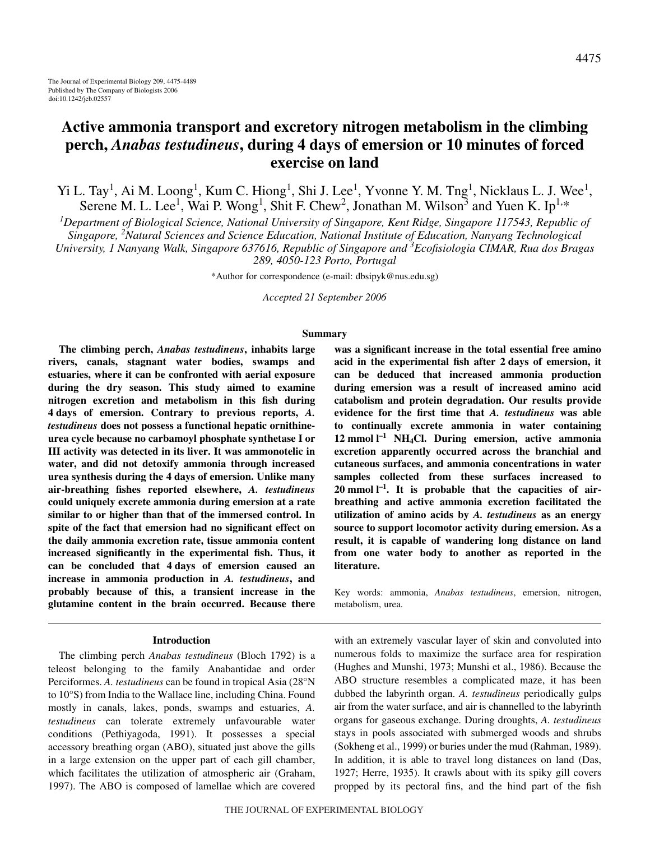# **Active ammonia transport and excretory nitrogen metabolism in the climbing perch, Anabas testudineus, during 4 days of emersion or 10 minutes of forced exercise on land**

Yi L. Tay<sup>1</sup>, Ai M. Loong<sup>1</sup>, Kum C. Hiong<sup>1</sup>, Shi J. Lee<sup>1</sup>, Yvonne Y. M. Tng<sup>1</sup>, Nicklaus L. J. Wee<sup>1</sup>, Serene M. L. Lee<sup>1</sup>, Wai P. Wong<sup>1</sup>, Shit F. Chew<sup>2</sup>, Jonathan M. Wilson<sup>3</sup> and Yuen K. Ip<sup>1,\*</sup>

*1 Department of Biological Science, National University of Singapore, Kent Ridge, Singapore 117543, Republic of Singapore, <sup>2</sup> Natural Sciences and Science Education, National Institute of Education, Nanyang Technological University, 1 Nanyang Walk, Singapore 637616, Republic of Singapore and 3 Ecofisiologia CIMAR, Rua dos Bragas 289, 4050-123 Porto, Portugal*

\*Author for correspondence (e-mail: dbsipyk@nus.edu.sg)

*Accepted 21 September 2006*

#### **Summary**

**The climbing perch,** *Anabas testudineus***, inhabits large rivers, canals, stagnant water bodies, swamps and estuaries, where it can be confronted with aerial exposure during the dry season. This study aimed to examine nitrogen excretion and metabolism in this fish during 4·days of emersion. Contrary to previous reports,** *A. testudineus* **does not possess a functional hepatic ornithineurea cycle because no carbamoyl phosphate synthetase I or III activity was detected in its liver. It was ammonotelic in water, and did not detoxify ammonia through increased urea synthesis during the 4·days of emersion. Unlike many air-breathing fishes reported elsewhere,** *A. testudineus* **could uniquely excrete ammonia during emersion at a rate similar to or higher than that of the immersed control. In spite of the fact that emersion had no significant effect on the daily ammonia excretion rate, tissue ammonia content increased significantly in the experimental fish. Thus, it** can be concluded that 4 days of emersion caused an **increase in ammonia production in** *A. testudineus***, and probably because of this, a transient increase in the glutamine content in the brain occurred. Because there**

#### **Introduction**

The climbing perch *Anabas testudineus* (Bloch 1792) is a teleost belonging to the family Anabantidae and order Perciformes. *A. testudineus* can be found in tropical Asia (28°N to 10°S) from India to the Wallace line, including China. Found mostly in canals, lakes, ponds, swamps and estuaries, *A. testudineus* can tolerate extremely unfavourable water conditions (Pethiyagoda, 1991). It possesses a special accessory breathing organ (ABO), situated just above the gills in a large extension on the upper part of each gill chamber, which facilitates the utilization of atmospheric air (Graham, 1997). The ABO is composed of lamellae which are covered

**was a significant increase in the total essential free amino** acid in the experimental fish after 2 days of emersion, it **can be deduced that increased ammonia production during emersion was a result of increased amino acid catabolism and protein degradation. Our results provide evidence for the first time that** *A. testudineus* **was able to continually excrete ammonia in water containing 12·mmol·l –1 NH4Cl. During emersion, active ammonia excretion apparently occurred across the branchial and cutaneous surfaces, and ammonia concentrations in water samples collected from these surfaces increased to** 20 mmol  $I^{-1}$ . It is probable that the capacities of air**breathing and active ammonia excretion facilitated the utilization of amino acids by** *A. testudineus* **as an energy source to support locomotor activity during emersion. As a result, it is capable of wandering long distance on land from one water body to another as reported in the literature.**

Key words: ammonia, *Anabas testudineus*, emersion, nitrogen, metabolism, urea.

with an extremely vascular layer of skin and convoluted into numerous folds to maximize the surface area for respiration (Hughes and Munshi, 1973; Munshi et al., 1986). Because the ABO structure resembles a complicated maze, it has been dubbed the labyrinth organ. *A. testudineus* periodically gulps air from the water surface, and air is channelled to the labyrinth organs for gaseous exchange. During droughts, *A. testudineus* stays in pools associated with submerged woods and shrubs (Sokheng et al., 1999) or buries under the mud (Rahman, 1989). In addition, it is able to travel long distances on land (Das, 1927; Herre, 1935). It crawls about with its spiky gill covers propped by its pectoral fins, and the hind part of the fish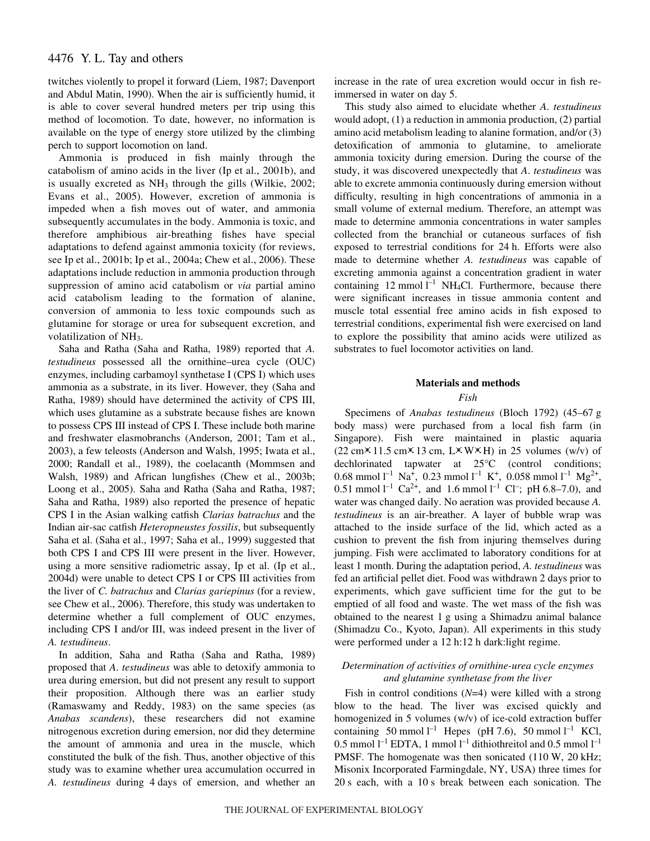twitches violently to propel it forward (Liem, 1987; Davenport and Abdul Matin, 1990). When the air is sufficiently humid, it is able to cover several hundred meters per trip using this method of locomotion. To date, however, no information is available on the type of energy store utilized by the climbing perch to support locomotion on land.

Ammonia is produced in fish mainly through the catabolism of amino acids in the liver (Ip et al., 2001b), and is usually excreted as  $NH<sub>3</sub>$  through the gills (Wilkie, 2002; Evans et al., 2005). However, excretion of ammonia is impeded when a fish moves out of water, and ammonia subsequently accumulates in the body. Ammonia is toxic, and therefore amphibious air-breathing fishes have special adaptations to defend against ammonia toxicity (for reviews, see Ip et al., 2001b; Ip et al., 2004a; Chew et al., 2006). These adaptations include reduction in ammonia production through suppression of amino acid catabolism or *via* partial amino acid catabolism leading to the formation of alanine, conversion of ammonia to less toxic compounds such as glutamine for storage or urea for subsequent excretion, and volatilization of  $NH<sub>3</sub>$ .

Saha and Ratha (Saha and Ratha, 1989) reported that *A. testudineus* possessed all the ornithine–urea cycle (OUC) enzymes, including carbamoyl synthetase I (CPS I) which uses ammonia as a substrate, in its liver. However, they (Saha and Ratha, 1989) should have determined the activity of CPS III, which uses glutamine as a substrate because fishes are known to possess CPS III instead of CPS I. These include both marine and freshwater elasmobranchs (Anderson, 2001; Tam et al., 2003), a few teleosts (Anderson and Walsh, 1995; Iwata et al., 2000; Randall et al., 1989), the coelacanth (Mommsen and Walsh, 1989) and African lungfishes (Chew et al., 2003b; Loong et al., 2005). Saha and Ratha (Saha and Ratha, 1987; Saha and Ratha, 1989) also reported the presence of hepatic CPS I in the Asian walking catfish *Clarias batrachus* and the Indian air-sac catfish *Heteropneustes fossilis*, but subsequently Saha et al. (Saha et al., 1997; Saha et al., 1999) suggested that both CPS I and CPS III were present in the liver. However, using a more sensitive radiometric assay, Ip et al. (Ip et al., 2004d) were unable to detect CPS I or CPS III activities from the liver of *C. batrachus* and *Clarias gariepinus* (for a review, see Chew et al., 2006). Therefore, this study was undertaken to determine whether a full complement of OUC enzymes, including CPS I and/or III, was indeed present in the liver of *A. testudineus*.

In addition, Saha and Ratha (Saha and Ratha, 1989) proposed that *A*. *testudineus* was able to detoxify ammonia to urea during emersion, but did not present any result to support their proposition. Although there was an earlier study (Ramaswamy and Reddy, 1983) on the same species (as *Anabas scandens*), these researchers did not examine nitrogenous excretion during emersion, nor did they determine the amount of ammonia and urea in the muscle, which constituted the bulk of the fish. Thus, another objective of this study was to examine whether urea accumulation occurred in A. testudineus during 4 days of emersion, and whether an increase in the rate of urea excretion would occur in fish reimmersed in water on day 5.

This study also aimed to elucidate whether *A*. *testudineus* would adopt, (1) a reduction in ammonia production, (2) partial amino acid metabolism leading to alanine formation, and/or (3) detoxification of ammonia to glutamine, to ameliorate ammonia toxicity during emersion. During the course of the study, it was discovered unexpectedly that *A*. *testudineus* was able to excrete ammonia continuously during emersion without difficulty, resulting in high concentrations of ammonia in a small volume of external medium. Therefore, an attempt was made to determine ammonia concentrations in water samples collected from the branchial or cutaneous surfaces of fish exposed to terrestrial conditions for 24 h. Efforts were also made to determine whether *A. testudineus* was capable of excreting ammonia against a concentration gradient in water containing  $12$  mmol  $l^{-1}$  NH<sub>4</sub>Cl. Furthermore, because there were significant increases in tissue ammonia content and muscle total essential free amino acids in fish exposed to terrestrial conditions, experimental fish were exercised on land to explore the possibility that amino acids were utilized as substrates to fuel locomotor activities on land.

# **Materials and methods**

## *Fish*

Specimens of *Anabas testudineus* (Bloch 1792) (45–67 g body mass) were purchased from a local fish farm (in Singapore). Fish were maintained in plastic aquaria  $(22 \text{ cm} \times 11.5 \text{ cm} \times 13 \text{ cm}, \text{ L} \times \text{W} \times \text{H})$  in 25 volumes (w/v) of dechlorinated tapwater at 25°C (control conditions; 0.68 mmol  $l^{-1}$  Na<sup>+</sup>, 0.23 mmol  $l^{-1}$  K<sup>+</sup>, 0.058 mmol  $l^{-1}$  Mg<sup>2+</sup>, 0.51 mmol  $l^{-1}$  Ca<sup>2+</sup>, and 1.6 mmol  $l^{-1}$  Cl<sup>-</sup>; pH 6.8–7.0), and water was changed daily. No aeration was provided because *A. testudineus* is an air-breather. A layer of bubble wrap was attached to the inside surface of the lid, which acted as a cushion to prevent the fish from injuring themselves during jumping. Fish were acclimated to laboratory conditions for at least 1 month. During the adaptation period, *A. testudineus* was fed an artificial pellet diet. Food was withdrawn 2 days prior to experiments, which gave sufficient time for the gut to be emptied of all food and waste. The wet mass of the fish was obtained to the nearest 1 g using a Shimadzu animal balance (Shimadzu Co., Kyoto, Japan). All experiments in this study were performed under a 12 h:12 h dark:light regime.

## *Determination of activities of ornithine-urea cycle enzymes and glutamine synthetase from the liver*

Fish in control conditions (*N*=4) were killed with a strong blow to the head. The liver was excised quickly and homogenized in 5 volumes (w/v) of ice-cold extraction buffer containing 50 mmol  $l^{-1}$  Hepes (pH 7.6), 50 mmol  $l^{-1}$  KCl, 0.5 mmol  $l^{-1}$  EDTA, 1 mmol  $l^{-1}$  dithiothreitol and 0.5 mmol  $l^{-1}$ PMSF. The homogenate was then sonicated  $(110 \text{ W}, 20 \text{ kHz};$ Misonix Incorporated Farmingdale, NY, USA) three times for  $20s$  each, with a  $10s$  break between each sonication. The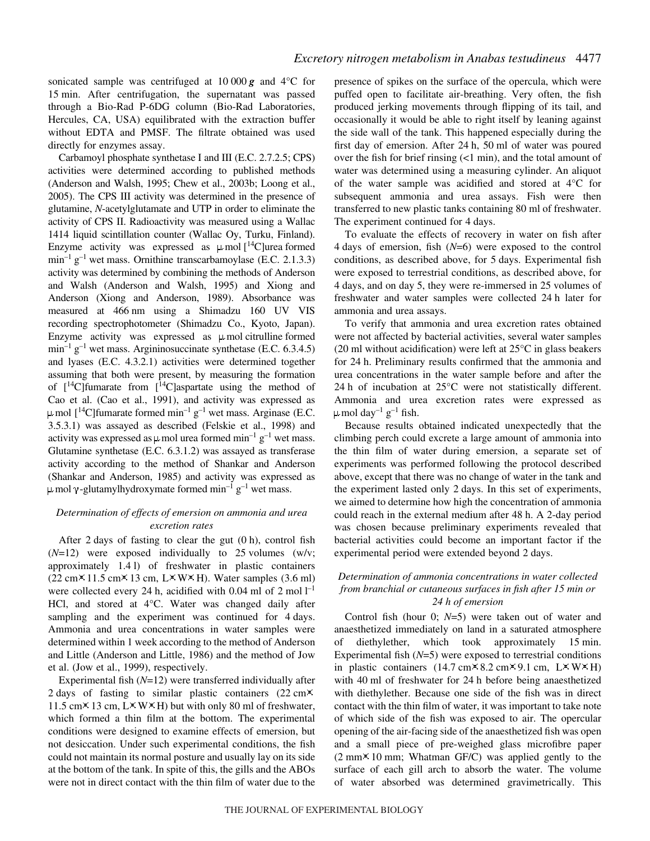sonicated sample was centrifuged at  $10\,000\,\text{g}$  and  $4^{\circ}\text{C}$  for 15 min. After centrifugation, the supernatant was passed through a Bio-Rad P-6DG column (Bio-Rad Laboratories, Hercules, CA, USA) equilibrated with the extraction buffer without EDTA and PMSF. The filtrate obtained was used directly for enzymes assay.

Carbamoyl phosphate synthetase I and III (E.C. 2.7.2.5; CPS) activities were determined according to published methods (Anderson and Walsh, 1995; Chew et al., 2003b; Loong et al., 2005). The CPS III activity was determined in the presence of glutamine, *N*-acetylglutamate and UTP in order to eliminate the activity of CPS II. Radioactivity was measured using a Wallac 1414 liquid scintillation counter (Wallac Oy, Turku, Finland). Enzyme activity was expressed as  $\mu$  mol [<sup>14</sup>C]urea formed  $\min^{-1}$  g<sup>-1</sup> wet mass. Ornithine transcarbamoylase (E.C. 2.1.3.3) activity was determined by combining the methods of Anderson and Walsh (Anderson and Walsh, 1995) and Xiong and Anderson (Xiong and Anderson, 1989). Absorbance was measured at 466 nm using a Shimadzu 160 UV VIS recording spectrophotometer (Shimadzu Co., Kyoto, Japan). Enzyme activity was expressed as  $\mu$  mol citrulline formed  $min^{-1} g^{-1}$  wet mass. Argininosuccinate synthetase (E.C. 6.3.4.5) and lyases (E.C. 4.3.2.1) activities were determined together assuming that both were present, by measuring the formation of  $[14C]$ fumarate from  $[14C]$ aspartate using the method of Cao et al. (Cao et al., 1991), and activity was expressed as  $\mu$  mol [<sup>14</sup>C]fumarate formed min<sup>-1</sup> g<sup>-1</sup> wet mass. Arginase (E.C. 3.5.3.1) was assayed as described (Felskie et al., 1998) and activity was expressed as  $\mu$  mol urea formed min<sup>-1</sup> g<sup>-1</sup> wet mass. Glutamine synthetase (E.C. 6.3.1.2) was assayed as transferase activity according to the method of Shankar and Anderson (Shankar and Anderson, 1985) and activity was expressed as  $\mu$  mol  $\gamma$ -glutamylhydroxymate formed min<sup>-1</sup> g<sup>-1</sup> wet mass.

## *Determination of effects of emersion on ammonia and urea excretion rates*

After 2 days of fasting to clear the gut  $(0 h)$ , control fish  $(N=12)$  were exposed individually to 25 volumes (w/v; approximately 1.41) of freshwater in plastic containers  $(22 \text{ cm} \times 11.5 \text{ cm} \times 13 \text{ cm}, \text{ L} \times \text{W} \times \text{H})$ . Water samples  $(3.6 \text{ ml})$ were collected every 24 h, acidified with 0.04 ml of 2 mol  $l^{-1}$ HCl, and stored at 4°C. Water was changed daily after sampling and the experiment was continued for 4 days. Ammonia and urea concentrations in water samples were determined within 1 week according to the method of Anderson and Little (Anderson and Little, 1986) and the method of Jow et al. (Jow et al., 1999), respectively.

Experimental fish (*N*=12) were transferred individually after 2 days of fasting to similar plastic containers  $(22 \text{ cm} \times$ 11.5 cm $\times$  13 cm, L $\times$ W $\times$ H) but with only 80 ml of freshwater, which formed a thin film at the bottom. The experimental conditions were designed to examine effects of emersion, but not desiccation. Under such experimental conditions, the fish could not maintain its normal posture and usually lay on its side at the bottom of the tank. In spite of this, the gills and the ABOs were not in direct contact with the thin film of water due to the presence of spikes on the surface of the opercula, which were puffed open to facilitate air-breathing. Very often, the fish produced jerking movements through flipping of its tail, and occasionally it would be able to right itself by leaning against the side wall of the tank. This happened especially during the first day of emersion. After 24 h, 50 ml of water was poured over the fish for brief rinsing  $(1 \text{ min})$ , and the total amount of water was determined using a measuring cylinder. An aliquot of the water sample was acidified and stored at 4°C for subsequent ammonia and urea assays. Fish were then transferred to new plastic tanks containing 80 ml of freshwater. The experiment continued for 4 days.

To evaluate the effects of recovery in water on fish after  $4$  days of emersion, fish  $(N=6)$  were exposed to the control conditions, as described above, for 5 days. Experimental fish were exposed to terrestrial conditions, as described above, for 4 days, and on day 5, they were re-immersed in 25 volumes of freshwater and water samples were collected 24 h later for ammonia and urea assays.

To verify that ammonia and urea excretion rates obtained were not affected by bacterial activities, several water samples (20 ml without acidification) were left at  $25^{\circ}$ C in glass beakers for 24 h. Preliminary results confirmed that the ammonia and urea concentrations in the water sample before and after the 24 h of incubation at  $25^{\circ}$ C were not statistically different. Ammonia and urea excretion rates were expressed as  $\mu$  mol day<sup>-1</sup> g<sup>-1</sup> fish.

Because results obtained indicated unexpectedly that the climbing perch could excrete a large amount of ammonia into the thin film of water during emersion, a separate set of experiments was performed following the protocol described above, except that there was no change of water in the tank and the experiment lasted only 2 days. In this set of experiments, we aimed to determine how high the concentration of ammonia could reach in the external medium after 48 h. A 2-day period was chosen because preliminary experiments revealed that bacterial activities could become an important factor if the experimental period were extended beyond 2 days.

## *Determination of ammonia concentrations in water collected from branchial or cutaneous surfaces in fish after 15·min or 24·h of emersion*

Control fish (hour 0; *N*=5) were taken out of water and anaesthetized immediately on land in a saturated atmosphere of diethylether, which took approximately 15 min. Experimental fish (*N*=5) were exposed to terrestrial conditions in plastic containers  $(14.7 \text{ cm} \times 8.2 \text{ cm} \times 9.1 \text{ cm}, \text{ L} \times \text{W} \times \text{H})$ with 40 ml of freshwater for 24 h before being anaesthetized with diethylether. Because one side of the fish was in direct contact with the thin film of water, it was important to take note of which side of the fish was exposed to air. The opercular opening of the air-facing side of the anaesthetized fish was open and a small piece of pre-weighed glass microfibre paper  $(2 \text{ mm} \times 10 \text{ mm})$ ; Whatman GF/C) was applied gently to the surface of each gill arch to absorb the water. The volume of water absorbed was determined gravimetrically. This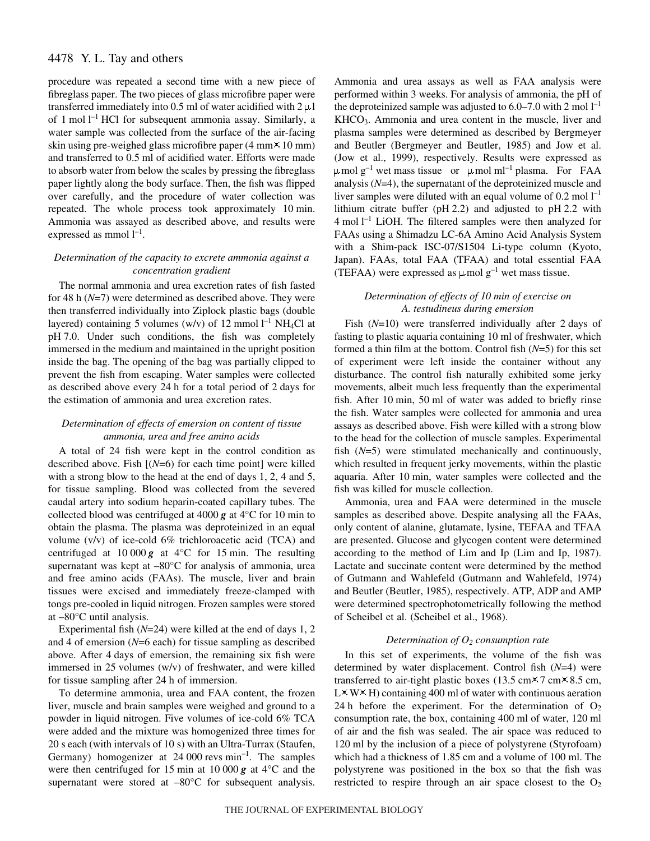procedure was repeated a second time with a new piece of fibreglass paper. The two pieces of glass microfibre paper were transferred immediately into 0.5 ml of water acidified with  $2 \mu$ 1 of 1 mol  $l^{-1}$  HCl for subsequent ammonia assay. Similarly, a water sample was collected from the surface of the air-facing skin using pre-weighed glass microfibre paper  $(4 \text{ mm} \times 10 \text{ mm})$ and transferred to 0.5 ml of acidified water. Efforts were made to absorb water from below the scales by pressing the fibreglass paper lightly along the body surface. Then, the fish was flipped over carefully, and the procedure of water collection was repeated. The whole process took approximately 10 min. Ammonia was assayed as described above, and results were expressed as mmol  $l^{-1}$ .

## *Determination of the capacity to excrete ammonia against a concentration gradient*

The normal ammonia and urea excretion rates of fish fasted for 48  $h$  ( $N=7$ ) were determined as described above. They were then transferred individually into Ziplock plastic bags (double layered) containing 5 volumes (w/v) of 12 mmol  $l^{-1}$  NH<sub>4</sub>Cl at pH 7.0. Under such conditions, the fish was completely immersed in the medium and maintained in the upright position inside the bag. The opening of the bag was partially clipped to prevent the fish from escaping. Water samples were collected as described above every 24 h for a total period of 2 days for the estimation of ammonia and urea excretion rates.

## *Determination of effects of emersion on content of tissue ammonia, urea and free amino acids*

A total of 24 fish were kept in the control condition as described above. Fish [(*N*=6) for each time point] were killed with a strong blow to the head at the end of days  $1, 2, 4$  and  $5$ , for tissue sampling. Blood was collected from the severed caudal artery into sodium heparin-coated capillary tubes. The collected blood was centrifuged at  $4000\,\text{g}$  at  $4^{\circ}\text{C}$  for 10 min to obtain the plasma. The plasma was deproteinized in an equal volume  $(v/v)$  of ice-cold 6% trichloroacetic acid (TCA) and centrifuged at  $10\,000\,\text{g}$  at  $4^{\circ}\text{C}$  for 15 min. The resulting supernatant was kept at –80°C for analysis of ammonia, urea and free amino acids (FAAs). The muscle, liver and brain tissues were excised and immediately freeze-clamped with tongs pre-cooled in liquid nitrogen. Frozen samples were stored at –80°C until analysis.

Experimental fish  $(N=24)$  were killed at the end of days 1, 2 and 4 of emersion (*N*=6 each) for tissue sampling as described above. After 4 days of emersion, the remaining six fish were immersed in  $25$  volumes (w/v) of freshwater, and were killed for tissue sampling after 24 h of immersion.

To determine ammonia, urea and FAA content, the frozen liver, muscle and brain samples were weighed and ground to a powder in liquid nitrogen. Five volumes of ice-cold 6% TCA were added and the mixture was homogenized three times for 20 s each (with intervals of 10 s) with an Ultra-Turrax (Staufen, Germany) homogenizer at  $24,000$  revs min<sup>-1</sup>. The samples were then centrifuged for 15 min at  $10\,000\,\text{g}$  at  $4^{\circ}\text{C}$  and the supernatant were stored at –80°C for subsequent analysis. Ammonia and urea assays as well as FAA analysis were performed within 3·weeks. For analysis of ammonia, the pH of the deproteinized sample was adjusted to  $6.0-7.0$  with 2 mol  $1^{-1}$ KHCO3. Ammonia and urea content in the muscle, liver and plasma samples were determined as described by Bergmeyer and Beutler (Bergmeyer and Beutler, 1985) and Jow et al. (Jow et al., 1999), respectively. Results were expressed as  $\mu$  mol g<sup>-1</sup> wet mass tissue or  $\mu$  mol ml<sup>-1</sup> plasma. For FAA analysis (*N*=4), the supernatant of the deproteinized muscle and liver samples were diluted with an equal volume of  $0.2 \text{ mol} l^{-1}$ lithium citrate buffer (pH 2.2) and adjusted to pH  $2.2$  with  $4 \text{ mol } l^{-1}$  LiOH. The filtered samples were then analyzed for FAAs using a Shimadzu LC-6A Amino Acid Analysis System with a Shim-pack ISC-07/S1504 Li-type column (Kyoto, Japan). FAAs, total FAA (TFAA) and total essential FAA (TEFAA) were expressed as  $\mu$  mol g<sup>-1</sup> wet mass tissue.

## *Determination of effects of 10·min of exercise on A. testudineus during emersion*

Fish  $(N=10)$  were transferred individually after 2 days of fasting to plastic aquaria containing 10 ml of freshwater, which formed a thin film at the bottom. Control fish (*N*=5) for this set of experiment were left inside the container without any disturbance. The control fish naturally exhibited some jerky movements, albeit much less frequently than the experimental fish. After 10 min, 50 ml of water was added to briefly rinse the fish. Water samples were collected for ammonia and urea assays as described above. Fish were killed with a strong blow to the head for the collection of muscle samples. Experimental fish (*N*=5) were stimulated mechanically and continuously, which resulted in frequent jerky movements, within the plastic aquaria. After 10 min, water samples were collected and the fish was killed for muscle collection.

Ammonia, urea and FAA were determined in the muscle samples as described above. Despite analysing all the FAAs, only content of alanine, glutamate, lysine, TEFAA and TFAA are presented. Glucose and glycogen content were determined according to the method of Lim and Ip (Lim and Ip, 1987). Lactate and succinate content were determined by the method of Gutmann and Wahlefeld (Gutmann and Wahlefeld, 1974) and Beutler (Beutler, 1985), respectively. ATP, ADP and AMP were determined spectrophotometrically following the method of Scheibel et al. (Scheibel et al., 1968).

#### *Determination of O2 consumption rate*

In this set of experiments, the volume of the fish was determined by water displacement. Control fish (*N*=4) were transferred to air-tight plastic boxes (13.5 cm $\times$ 7 cm $\times$ 8.5 cm,  $L \times W \times H$ ) containing 400 ml of water with continuous aeration 24 h before the experiment. For the determination of  $O_2$ consumption rate, the box, containing 400 ml of water, 120 ml of air and the fish was sealed. The air space was reduced to 120 ml by the inclusion of a piece of polystyrene (Styrofoam) which had a thickness of 1.85 cm and a volume of 100 ml. The polystyrene was positioned in the box so that the fish was restricted to respire through an air space closest to the  $O<sub>2</sub>$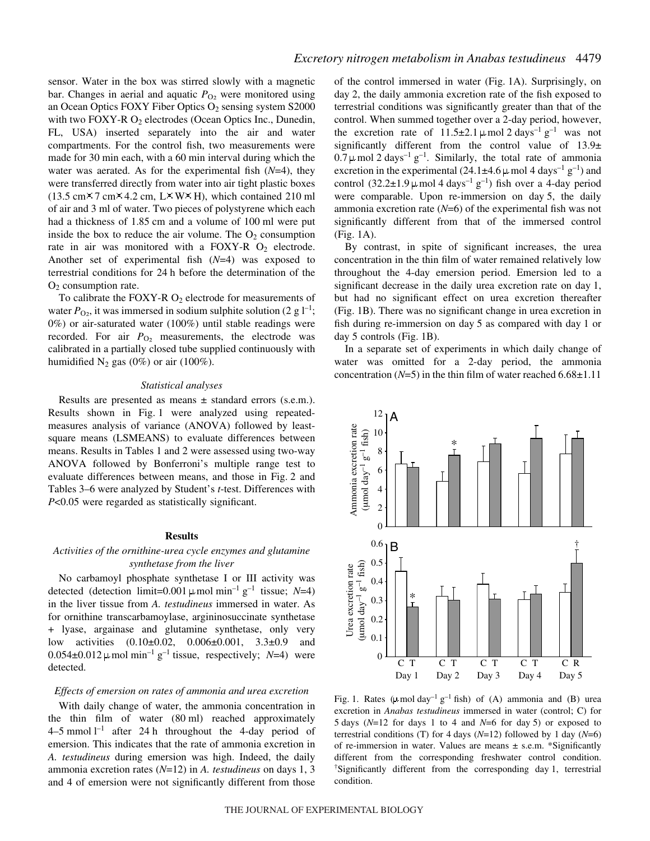sensor. Water in the box was stirred slowly with a magnetic bar. Changes in aerial and aquatic  $P_{\text{O}_2}$  were monitored using an Ocean Optics FOXY Fiber Optics  $O_2$  sensing system S2000 with two FOXY-R  $O_2$  electrodes (Ocean Optics Inc., Dunedin, FL, USA) inserted separately into the air and water compartments. For the control fish, two measurements were made for 30 min each, with a 60 min interval during which the water was aerated. As for the experimental fish (*N*=4), they were transferred directly from water into air tight plastic boxes  $(13.5 \text{ cm} \times 7 \text{ cm} \times 4.2 \text{ cm}, L \times W \times H)$ , which contained 210 ml of air and 3 ml of water. Two pieces of polystyrene which each had a thickness of 1.85 cm and a volume of 100 ml were put inside the box to reduce the air volume. The  $O_2$  consumption rate in air was monitored with a FOXY-R  $O_2$  electrode. Another set of experimental fish (*N*=4) was exposed to terrestrial conditions for 24 h before the determination of the  $O<sub>2</sub>$  consumption rate.

To calibrate the FOXY-R  $O_2$  electrode for measurements of water  $P_{\text{O}_2}$ , it was immersed in sodium sulphite solution (2 g  $l^{-1}$ ; 0%) or air-saturated water (100%) until stable readings were recorded. For air  $P_{\text{O}_2}$  measurements, the electrode was calibrated in a partially closed tube supplied continuously with humidified  $N_2$  gas (0%) or air (100%).

#### *Statistical analyses*

Results are presented as means  $\pm$  standard errors (s.e.m.). Results shown in Fig. 1 were analyzed using repeatedmeasures analysis of variance (ANOVA) followed by leastsquare means (LSMEANS) to evaluate differences between means. Results in Tables 1 and 2 were assessed using two-way ANOVA followed by Bonferroni's multiple range test to evaluate differences between means, and those in Fig. 2 and Tables 3–6 were analyzed by Student's *t*-test. Differences with *P*<0.05 were regarded as statistically significant.

#### **Results**

## *Activities of the ornithine-urea cycle enzymes and glutamine synthetase from the liver*

No carbamoyl phosphate synthetase I or III activity was detected (detection limit=0.001  $\mu$  mol min<sup>-1</sup> g<sup>-1</sup> tissue; *N*=4) in the liver tissue from *A. testudineus* immersed in water. As for ornithine transcarbamoylase, argininosuccinate synthetase + lyase, argainase and glutamine synthetase, only very low activities (0.10±0.02, 0.006±0.001, 3.3±0.9 and  $0.054\pm0.012 \mu$  mol min<sup>-1</sup> g<sup>-1</sup> tissue, respectively; *N*=4) were detected.

#### *Effects of emersion on rates of ammonia and urea excretion*

With daily change of water, the ammonia concentration in the thin film of water (80 ml) reached approximately  $4-5$  mmol  $l^{-1}$  after 24 h throughout the 4-day period of emersion. This indicates that the rate of ammonia excretion in *A. testudineus* during emersion was high. Indeed, the daily ammonia excretion rates (*N*=12) in *A. testudineus* on days 1, 3 and 4 of emersion were not significantly different from those of the control immersed in water (Fig. 1A). Surprisingly, on day 2, the daily ammonia excretion rate of the fish exposed to terrestrial conditions was significantly greater than that of the control. When summed together over a 2-day period, however, the excretion rate of  $11.5\pm2.1 \,\mu\text{mol}$  2 days<sup>-1</sup> g<sup>-1</sup> was not significantly different from the control value of 13.9±  $0.7 \mu$  mol 2 days<sup>-1</sup> g<sup>-1</sup>. Similarly, the total rate of ammonia excretion in the experimental  $(24.1\pm4.6\,\mu\,\text{mol}\,4\,\text{days}^{-1}\,\text{g}^{-1})$  and control  $(32.2\pm1.9 \,\mu\text{mol}4 \text{ days}^{-1} \text{ g}^{-1})$  fish over a 4-day period were comparable. Upon re-immersion on day 5, the daily ammonia excretion rate (*N*=6) of the experimental fish was not significantly different from that of the immersed control  $(Fig. 1A)$ .

By contrast, in spite of significant increases, the urea concentration in the thin film of water remained relatively low throughout the 4-day emersion period. Emersion led to a significant decrease in the daily urea excretion rate on day 1, but had no significant effect on urea excretion thereafter (Fig. 1B). There was no significant change in urea excretion in fish during re-immersion on day 5 as compared with day 1 or day 5 controls (Fig.  $1B$ ).

In a separate set of experiments in which daily change of water was omitted for a 2-day period, the ammonia concentration  $(N=5)$  in the thin film of water reached  $6.68\pm1.11$ 



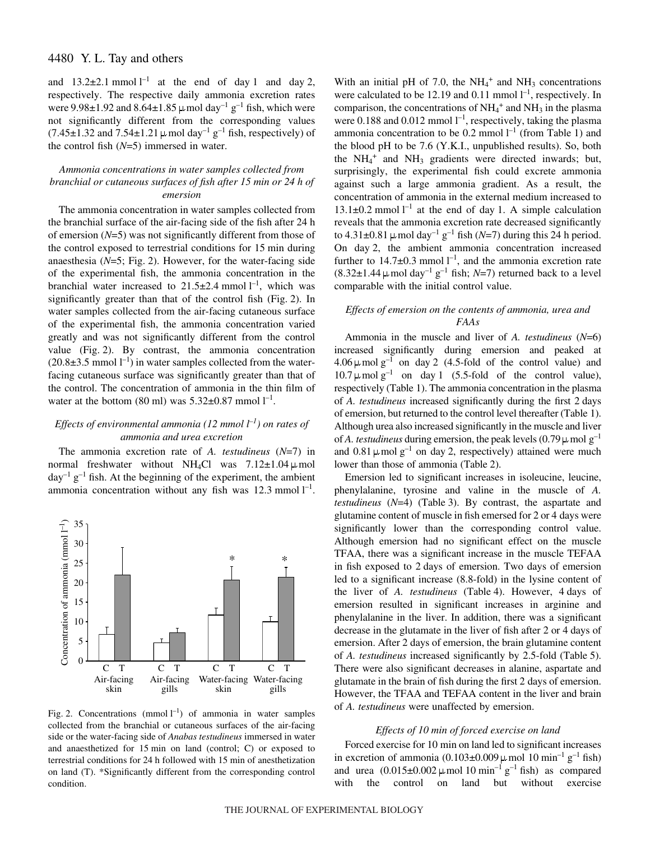and  $13.2\pm2.1$  mmol  $l^{-1}$  at the end of day 1 and day 2, respectively. The respective daily ammonia excretion rates were 9.98 $\pm$ 1.92 and 8.64 $\pm$ 1.85  $\mu$  mol day<sup>-1</sup> g<sup>-1</sup> fish, which were not significantly different from the corresponding values  $(7.45\pm1.32$  and  $7.54\pm1.21 \,\mu$  mol day<sup>-1</sup> g<sup>-1</sup> fish, respectively) of the control fish (*N*=5) immersed in water.

#### *Ammonia concentrations in water samples collected from branchial or cutaneous surfaces of fish after 15·min or 24·h of emersion*

The ammonia concentration in water samples collected from the branchial surface of the air-facing side of the fish after 24 h of emersion (*N*=5) was not significantly different from those of the control exposed to terrestrial conditions for 15 min during anaesthesia  $(N=5; Fig. 2)$ . However, for the water-facing side of the experimental fish, the ammonia concentration in the branchial water increased to  $21.5\pm2.4$  mmol  $l^{-1}$ , which was significantly greater than that of the control fish (Fig. 2). In water samples collected from the air-facing cutaneous surface of the experimental fish, the ammonia concentration varied greatly and was not significantly different from the control value  $(Fig. 2)$ . By contrast, the ammonia concentration  $(20.8\pm3.5 \text{ mmol l}^{-1})$  in water samples collected from the waterfacing cutaneous surface was significantly greater than that of the control. The concentration of ammonia in the thin film of water at the bottom (80 ml) was  $5.32\pm0.87$  mmol  $l^{-1}$ .

## *Effects of environmental ammonia (12·mmol·l –1) on rates of ammonia and urea excretion*

The ammonia excretion rate of *A. testudineus* (*N*=7) in normal freshwater without NH<sub>4</sub>Cl was  $7.12 \pm 1.04 \,\mu$  mol  $day^{-1}g^{-1}$  fish. At the beginning of the experiment, the ambient ammonia concentration without any fish was  $12.3$  mmol  $l^{-1}$ .



Fig. 2. Concentrations (mmol  $l^{-1}$ ) of ammonia in water samples collected from the branchial or cutaneous surfaces of the air-facing side or the water-facing side of *Anabas testudineus* immersed in water and anaesthetized for  $15$  min on land (control; C) or exposed to terrestrial conditions for 24 h followed with 15 min of anesthetization on land (T). \*Significantly different from the corresponding control condition.

With an initial pH of 7.0, the  $NH_4^+$  and  $NH_3$  concentrations were calculated to be 12.19 and  $0.11$  mmol  $l^{-1}$ , respectively. In comparison, the concentrations of  $NH_4^+$  and  $NH_3$  in the plasma were 0.188 and 0.012 mmol  $l^{-1}$ , respectively, taking the plasma ammonia concentration to be 0.2 mmol  $l^{-1}$  (from Table 1) and the blood pH to be 7.6 (Y.K.I., unpublished results). So, both the  $NH_4$ <sup>+</sup> and  $NH_3$  gradients were directed inwards; but, surprisingly, the experimental fish could excrete ammonia against such a large ammonia gradient. As a result, the concentration of ammonia in the external medium increased to 13.1 $\pm$ 0.2 mmol l<sup>-1</sup> at the end of day 1. A simple calculation reveals that the ammonia excretion rate decreased significantly to  $4.31\pm0.81~\mu$  mol day<sup>-1</sup> g<sup>-1</sup> fish (*N*=7) during this 24 h period. On day 2, the ambient ammonia concentration increased further to  $14.7\pm0.3$  mmol  $l^{-1}$ , and the ammonia excretion rate  $(8.32\pm1.44 \,\mu\text{mol day}^{-1}\text{ g}^{-1}$  fish; *N*=7) returned back to a level comparable with the initial control value.

#### *Effects of emersion on the contents of ammonia, urea and FAAs*

Ammonia in the muscle and liver of *A. testudineus* (*N*=6) increased significantly during emersion and peaked at  $4.06 \mu$  mol g<sup>-1</sup> on day 2 (4.5-fold of the control value) and  $10.7 \mu$  mol g<sup>-1</sup> on day 1 (5.5-fold of the control value), respectively (Table 1). The ammonia concentration in the plasma of *A. testudineus* increased significantly during the first 2 days of emersion, but returned to the control level thereafter (Table·1). Although urea also increased significantly in the muscle and liver of *A. testudineus* during emersion, the peak levels  $(0.79 \,\mu\text{mol g}^{-1})$ and  $0.81 \mu$ mol g<sup>-1</sup> on day 2, respectively) attained were much lower than those of ammonia (Table 2).

Emersion led to significant increases in isoleucine, leucine, phenylalanine, tyrosine and valine in the muscle of *A. testudineus* (*N*=4) (Table 3). By contrast, the aspartate and glutamine content of muscle in fish emersed for 2 or 4 days were significantly lower than the corresponding control value. Although emersion had no significant effect on the muscle TFAA, there was a significant increase in the muscle TEFAA in fish exposed to 2 days of emersion. Two days of emersion led to a significant increase (8.8-fold) in the lysine content of the liver of *A. testudineus* (Table 4). However, 4 days of emersion resulted in significant increases in arginine and phenylalanine in the liver. In addition, there was a significant decrease in the glutamate in the liver of fish after 2 or 4 days of emersion. After 2 days of emersion, the brain glutamine content of *A. testudineus* increased significantly by 2.5-fold (Table·5). There were also significant decreases in alanine, aspartate and glutamate in the brain of fish during the first 2 days of emersion. However, the TFAA and TEFAA content in the liver and brain of *A. testudineus* were unaffected by emersion.

## Effects of 10 min of forced exercise on land

Forced exercise for 10 min on land led to significant increases in excretion of ammonia (0.103±0.009  $\mu$  mol 10 min<sup>-1</sup> g<sup>-1</sup> fish) and urea  $(0.015\pm0.002 \,\mu\text{mol}~10 \,\text{min}^{-1}\text{ g}^{-1}$  fish) as compared with the control on land but without exercise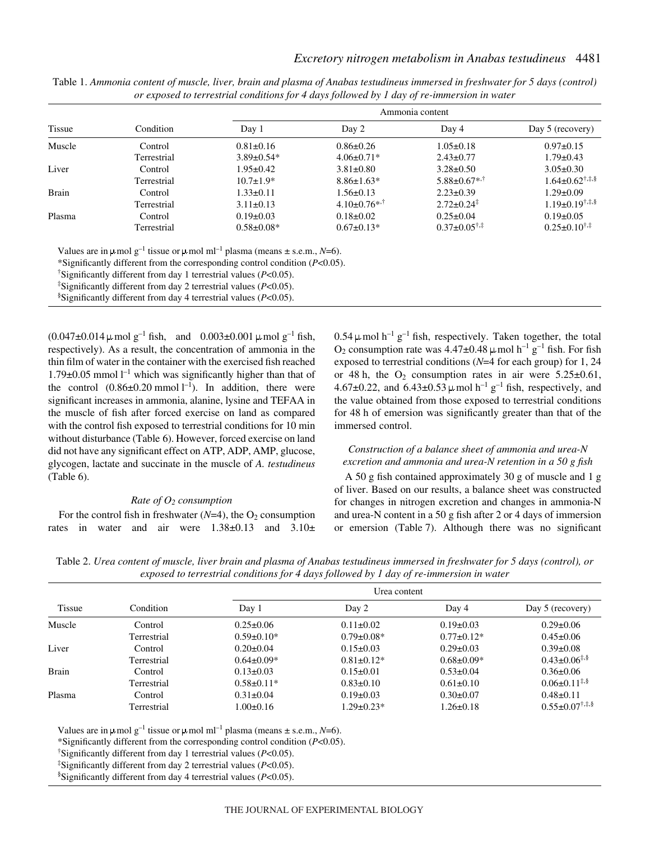| Tissue | Condition   |                  | Ammonia content  |                                    |                                       |  |  |  |
|--------|-------------|------------------|------------------|------------------------------------|---------------------------------------|--|--|--|
|        |             | Day 1            | Day 2            | Day 4                              | Day 5 (recovery)                      |  |  |  |
| Muscle | Control     | $0.81 \pm 0.16$  | $0.86 \pm 0.26$  | $1.05 \pm 0.18$                    | $0.97 \pm 0.15$                       |  |  |  |
|        | Terrestrial | $3.89 \pm 0.54*$ | $4.06\pm0.71*$   | $2.43 \pm 0.77$                    | $1.79 \pm 0.43$                       |  |  |  |
| Liver  | Control     | $1.95 \pm 0.42$  | $3.81 \pm 0.80$  | $3.28 \pm 0.50$                    | $3.05 \pm 0.30$                       |  |  |  |
|        | Terrestrial | $10.7 \pm 1.9*$  | $8.86 \pm 1.63*$ | $5.88 \pm 0.67$ * <sup>*</sup>     | $1.64 \pm 0.62^{\dagger,\ddagger,\S}$ |  |  |  |
| Brain  | Control     | $1.33 \pm 0.11$  | $1.56 \pm 0.13$  | $2.23 \pm 0.39$                    | $1.29 \pm 0.09$                       |  |  |  |
|        | Terrestrial | $3.11 \pm 0.13$  | $4.10\pm0.76**$  | $2.72 \pm 0.24^{\ddagger}$         | $1.19 \pm 0.19^{\dagger,\ddagger,\S}$ |  |  |  |
| Plasma | Control     | $0.19\pm0.03$    | $0.18 \pm 0.02$  | $0.25 \pm 0.04$                    | $0.19 \pm 0.05$                       |  |  |  |
|        | Terrestrial | $0.58 \pm 0.08*$ | $0.67 \pm 0.13*$ | $0.37 \pm 0.05^{\dagger,\ddagger}$ | $0.25 \pm 0.10^{\dagger,*}$           |  |  |  |

Table 1. Ammonia content of muscle, liver, brain and plasma of Anabas testudineus immersed in freshwater for 5 days (control) *or exposed to terrestrial conditions for 4·days followed by 1·day of re-immersion in water*

Values are in  $\mu$  mol g<sup>-1</sup> tissue or  $\mu$  mol ml<sup>-1</sup> plasma (means  $\pm$  s.e.m., *N*=6).

\*Significantly different from the corresponding control condition (*P*<0.05).

<sup>†</sup>Significantly different from day 1 terrestrial values (*P<*0.05).

‡ Significantly different from day·2 terrestrial values (*P*<0.05).

§Significantly different from day 4 terrestrial values (*P<*0.05).

 $(0.047\pm0.014 \,\mu \text{ mol g}^{-1}$  fish, and  $(0.003\pm0.001 \,\mu \text{ mol g}^{-1})$  fish, respectively). As a result, the concentration of ammonia in the thin film of water in the container with the exercised fish reached 1.79 $\pm$ 0.05 mmol<sup>1-1</sup> which was significantly higher than that of the control  $(0.86 \pm 0.20 \text{ mmol l}^{-1})$ . In addition, there were significant increases in ammonia, alanine, lysine and TEFAA in the muscle of fish after forced exercise on land as compared with the control fish exposed to terrestrial conditions for 10 min without disturbance (Table 6). However, forced exercise on land did not have any significant effect on ATP, ADP, AMP, glucose, glycogen, lactate and succinate in the muscle of *A. testudineus*  $(Table 6)$ .

#### *Rate of O2 consumption*

For the control fish in freshwater  $(N=4)$ , the O<sub>2</sub> consumption rates in water and air were  $1.38\pm0.13$  and  $3.10\pm$   $0.54 \,\mu$  mol h<sup>-1</sup> g<sup>-1</sup> fish, respectively. Taken together, the total O<sub>2</sub> consumption rate was  $4.47\pm0.48\,\mu$  mol  $h^{-1}g^{-1}$  fish. For fish exposed to terrestrial conditions (*N*=4 for each group) for 1, 24 or 48 h, the  $O_2$  consumption rates in air were  $5.25\pm0.61$ , 4.67 $\pm$ 0.22, and 6.43 $\pm$ 0.53  $\mu$  mol h<sup>-1</sup> g<sup>-1</sup> fish, respectively, and the value obtained from those exposed to terrestrial conditions for 48 h of emersion was significantly greater than that of the immersed control.

## *Construction of a balance sheet of ammonia and urea-N excretion and ammonia and urea-N retention in a 50·g fish*

A 50 g fish contained approximately 30 g of muscle and 1 g of liver. Based on our results, a balance sheet was constructed for changes in nitrogen excretion and changes in ammonia-N and urea-N content in a 50  $g$  fish after 2 or 4 days of immersion or emersion (Table 7). Although there was no significant

| Table 2. Urea content of muscle, liver brain and plasma of Anabas testudineus immersed in freshwater for 5 days (control), or |
|-------------------------------------------------------------------------------------------------------------------------------|
| exposed to terrestrial conditions for 4 days followed by 1 day of re-immersion in water                                       |

|               | Condition   |                  | Urea content     |                  |                                                     |  |  |
|---------------|-------------|------------------|------------------|------------------|-----------------------------------------------------|--|--|
| <b>Tissue</b> |             | Day 1            | Day 2            | Day 4            | Day 5 (recovery)                                    |  |  |
| Muscle        | Control     | $0.25 \pm 0.06$  | $0.11 \pm 0.02$  | $0.19 \pm 0.03$  | $0.29 \pm 0.06$                                     |  |  |
|               | Terrestrial | $0.59 \pm 0.10*$ | $0.79 \pm 0.08*$ | $0.77 \pm 0.12*$ | $0.45 \pm 0.06$                                     |  |  |
| Liver         | Control     | $0.20 \pm 0.04$  | $0.15 \pm 0.03$  | $0.29 \pm 0.03$  | $0.39 \pm 0.08$                                     |  |  |
|               | Terrestrial | $0.64 \pm 0.09*$ | $0.81 \pm 0.12*$ | $0.68 \pm 0.09*$ | $0.43 \pm 0.06$ <sup><math>\ddagger</math>, §</sup> |  |  |
| Brain         | Control     | $0.13 \pm 0.03$  | $0.15 \pm 0.01$  | $0.53 \pm 0.04$  | $0.36 \pm 0.06$                                     |  |  |
|               | Terrestrial | $0.58 \pm 0.11*$ | $0.83 \pm 0.10$  | $0.61 \pm 0.10$  | $0.06 \pm 0.11^{\ddagger,\delta}$                   |  |  |
| Plasma        | Control     | $0.31 \pm 0.04$  | $0.19 \pm 0.03$  | $0.30 \pm 0.07$  | $0.48 \pm 0.11$                                     |  |  |
|               | Terrestrial | $1.00 \pm 0.16$  | $1.29 \pm 0.23*$ | $1.26 \pm 0.18$  | $0.55 \pm 0.07^{\dagger,\ddagger,\S}$               |  |  |

Values are in  $\mu$  mol  $g^{-1}$  tissue or  $\mu$  mol ml<sup>-1</sup> plasma (means  $\pm$  s.e.m., *N*=6).

\*Significantly different from the corresponding control condition (*P*<0.05).

<sup>†</sup>Significantly different from day 1 terrestrial values (*P*<0.05).

‡ Significantly different from day·2 terrestrial values (*P*<0.05).

§Significantly different from day 4 terrestrial values (*P<*0.05).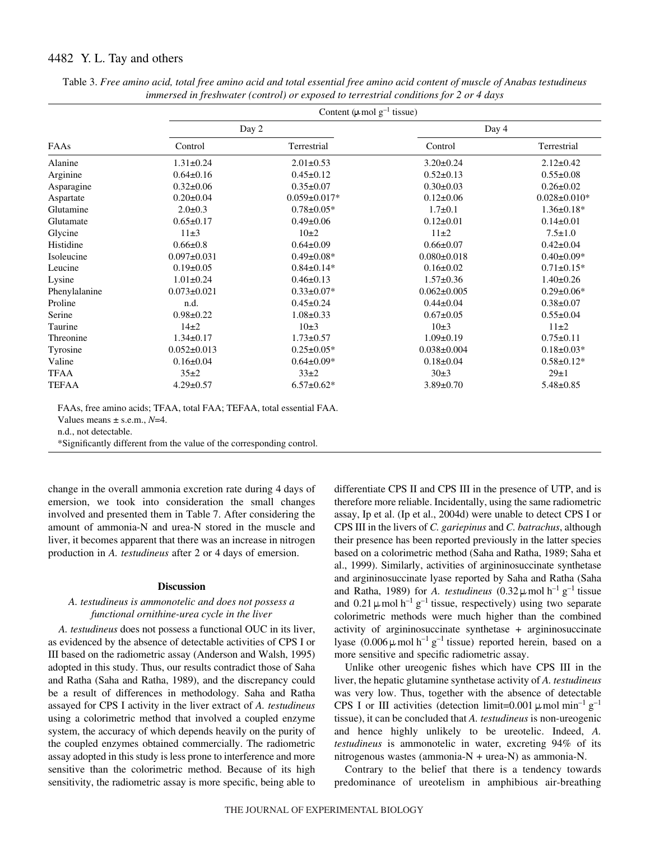|               | Content ( $\mu$ mol g <sup>-1</sup> tissue) |                    |                   |                    |  |  |
|---------------|---------------------------------------------|--------------------|-------------------|--------------------|--|--|
|               |                                             | Day 2              | Day 4             |                    |  |  |
| FAAs          | Control                                     | Terrestrial        | Control           | Terrestrial        |  |  |
| Alanine       | $1.31 \pm 0.24$                             | $2.01 \pm 0.53$    | $3.20 \pm 0.24$   | $2.12 \pm 0.42$    |  |  |
| Arginine      | $0.64 \pm 0.16$                             | $0.45 \pm 0.12$    | $0.52 \pm 0.13$   | $0.55 \pm 0.08$    |  |  |
| Asparagine    | $0.32 \pm 0.06$                             | $0.35 \pm 0.07$    | $0.30 \pm 0.03$   | $0.26 \pm 0.02$    |  |  |
| Aspartate     | $0.20 \pm 0.04$                             | $0.059 \pm 0.017*$ | $0.12 \pm 0.06$   | $0.028 \pm 0.010*$ |  |  |
| Glutamine     | $2.0 \pm 0.3$                               | $0.78 \pm 0.05*$   | $1.7 + 0.1$       | $1.36 \pm 0.18*$   |  |  |
| Glutamate     | $0.65 \pm 0.17$                             | $0.49 \pm 0.06$    | $0.12 \pm 0.01$   | $0.14 \pm 0.01$    |  |  |
| Glycine       | $11\pm3$                                    | $10\pm 2$          | $11\pm2$          | $7.5 \pm 1.0$      |  |  |
| Histidine     | $0.66 \pm 0.8$                              | $0.64 \pm 0.09$    | $0.66 \pm 0.07$   | $0.42 \pm 0.04$    |  |  |
| Isoleucine    | $0.097 \pm 0.031$                           | $0.49 \pm 0.08*$   | $0.080 \pm 0.018$ | $0.40 \pm 0.09*$   |  |  |
| Leucine       | $0.19 \pm 0.05$                             | $0.84 \pm 0.14*$   | $0.16 \pm 0.02$   | $0.71 \pm 0.15*$   |  |  |
| Lysine        | $1.01 \pm 0.24$                             | $0.46 \pm 0.13$    | $1.57 \pm 0.36$   | $1.40 \pm 0.26$    |  |  |
| Phenylalanine | $0.073 \pm 0.021$                           | $0.33 \pm 0.07*$   | $0.062 \pm 0.005$ | $0.29 \pm 0.06*$   |  |  |
| Proline       | n.d.                                        | $0.45 \pm 0.24$    | $0.44 \pm 0.04$   | $0.38 \pm 0.07$    |  |  |
| Serine        | $0.98 \pm 0.22$                             | $1.08 \pm 0.33$    | $0.67 \pm 0.05$   | $0.55 \pm 0.04$    |  |  |
| Taurine       | $14\pm 2$                                   | $10\pm3$           | $10\pm3$          | $11\pm2$           |  |  |
| Threonine     | $1.34 \pm 0.17$                             | $1.73 \pm 0.57$    | $1.09 \pm 0.19$   | $0.75 \pm 0.11$    |  |  |
| Tyrosine      | $0.052 \pm 0.013$                           | $0.25 \pm 0.05*$   | $0.038 \pm 0.004$ | $0.18 \pm 0.03*$   |  |  |
| Valine        | $0.16 \pm 0.04$                             | $0.64 \pm 0.09*$   | $0.18 \pm 0.04$   | $0.58 \pm 0.12*$   |  |  |
| <b>TFAA</b>   | $35+2$                                      | $33\pm2$           | 30±3              | $29\pm1$           |  |  |
| <b>TEFAA</b>  | $4.29 \pm 0.57$                             | $6.57 \pm 0.62$ *  | $3.89 \pm 0.70$   | $5.48 \pm 0.85$    |  |  |

Table 3. *Free amino acid, total free amino acid and total essential free amino acid content of muscle of Anabas testudineus immersed in freshwater (control) or exposed to terrestrial conditions for 2 or 4 days* 

FAAs, free amino acids; TFAA, total FAA; TEFAA, total essential FAA.

Values means  $\pm$  s.e.m.,  $N=4$ .

n.d., not detectable.

\*Significantly different from the value of the corresponding control.

change in the overall ammonia excretion rate during 4 days of emersion, we took into consideration the small changes involved and presented them in Table 7. After considering the amount of ammonia-N and urea-N stored in the muscle and liver, it becomes apparent that there was an increase in nitrogen production in *A. testudineus* after 2 or 4 days of emersion.

#### **Discussion**

#### *A. testudineus is ammonotelic and does not possess a functional ornithine-urea cycle in the liver*

*A. testudineus* does not possess a functional OUC in its liver, as evidenced by the absence of detectable activities of CPS I or III based on the radiometric assay (Anderson and Walsh, 1995) adopted in this study. Thus, our results contradict those of Saha and Ratha (Saha and Ratha, 1989), and the discrepancy could be a result of differences in methodology. Saha and Ratha assayed for CPS I activity in the liver extract of *A. testudineus* using a colorimetric method that involved a coupled enzyme system, the accuracy of which depends heavily on the purity of the coupled enzymes obtained commercially. The radiometric assay adopted in this study is less prone to interference and more sensitive than the colorimetric method. Because of its high sensitivity, the radiometric assay is more specific, being able to differentiate CPS II and CPS III in the presence of UTP, and is therefore more reliable. Incidentally, using the same radiometric assay, Ip et al. (Ip et al., 2004d) were unable to detect CPS I or CPS III in the livers of *C. gariepinus* and *C. batrachus*, although their presence has been reported previously in the latter species based on a colorimetric method (Saha and Ratha, 1989; Saha et al., 1999). Similarly, activities of argininosuccinate synthetase and argininosuccinate lyase reported by Saha and Ratha (Saha and Ratha, 1989) for *A. testudineus*  $(0.32 \mu \text{ mol h}^{-1} \text{ g}^{-1}$  tissue and 0.21  $\mu$  mol h<sup>-1</sup> g<sup>-1</sup> tissue, respectively) using two separate colorimetric methods were much higher than the combined activity of argininosuccinate synthetase + argininosuccinate lyase  $(0.006 \mu \text{ mol h}^{-1} \text{ g}^{-1}$  tissue) reported herein, based on a more sensitive and specific radiometric assay.

Unlike other ureogenic fishes which have CPS III in the liver, the hepatic glutamine synthetase activity of *A. testudineus* was very low. Thus, together with the absence of detectable CPS I or III activities (detection limit=0.001  $\mu$  mol min<sup>-1</sup> g<sup>-1</sup> tissue), it can be concluded that *A. testudineus* is non-ureogenic and hence highly unlikely to be ureotelic. Indeed, *A. testudineus* is ammonotelic in water, excreting 94% of its nitrogenous wastes (ammonia-N + urea-N) as ammonia-N.

Contrary to the belief that there is a tendency towards predominance of ureotelism in amphibious air-breathing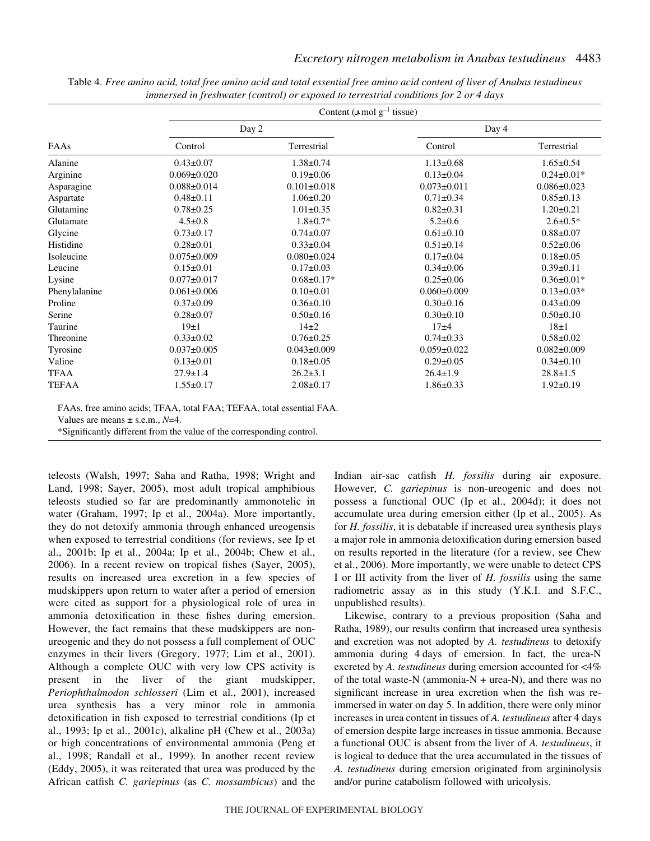|               | Content ( $\mu$ mol g <sup>-1</sup> tissue) |                   |                   |                   |  |  |
|---------------|---------------------------------------------|-------------------|-------------------|-------------------|--|--|
|               |                                             | Day 2             | Day 4             |                   |  |  |
| FAAs          | Control                                     | Terrestrial       | Control           | Terrestrial       |  |  |
| Alanine       | $0.43 \pm 0.07$                             | $1.38 \pm 0.74$   | $1.13 \pm 0.68$   | $1.65 \pm 0.54$   |  |  |
| Arginine      | $0.069 \pm 0.020$                           | $0.19 \pm 0.06$   | $0.13 \pm 0.04$   | $0.24 \pm 0.01*$  |  |  |
| Asparagine    | $0.088 \pm 0.014$                           | $0.101 \pm 0.018$ | $0.073 \pm 0.011$ | $0.086 \pm 0.023$ |  |  |
| Aspartate     | $0.48 \pm 0.11$                             | $1.06 \pm 0.20$   | $0.71 \pm 0.34$   | $0.85 \pm 0.13$   |  |  |
| Glutamine     | $0.78 \pm 0.25$                             | $1.01 \pm 0.35$   | $0.82 \pm 0.31$   | $1.20 \pm 0.21$   |  |  |
| Glutamate     | $4.5 \pm 0.8$                               | $1.8 \pm 0.7*$    | $5.2 \pm 0.6$     | $2.6 \pm 0.5*$    |  |  |
| Glycine       | $0.73 \pm 0.17$                             | $0.74 \pm 0.07$   | $0.61 \pm 0.10$   | $0.88 \pm 0.07$   |  |  |
| Histidine     | $0.28 \pm 0.01$                             | $0.33 \pm 0.04$   | $0.51 \pm 0.14$   | $0.52 \pm 0.06$   |  |  |
| Isoleucine    | $0.075 \pm 0.009$                           | $0.080 \pm 0.024$ | $0.17 \pm 0.04$   | $0.18 \pm 0.05$   |  |  |
| Leucine       | $0.15 \pm 0.01$                             | $0.17 \pm 0.03$   | $0.34 \pm 0.06$   | $0.39 \pm 0.11$   |  |  |
| Lysine        | $0.077 \pm 0.017$                           | $0.68 \pm 0.17*$  | $0.25 \pm 0.06$   | $0.36 \pm 0.01*$  |  |  |
| Phenylalanine | $0.061 \pm 0.006$                           | $0.10 \pm 0.01$   | $0.060 \pm 0.009$ | $0.13 \pm 0.03*$  |  |  |
| Proline       | $0.37 \pm 0.09$                             | $0.36 \pm 0.10$   | $0.30 \pm 0.16$   | $0.43 \pm 0.09$   |  |  |
| Serine        | $0.28 \pm 0.07$                             | $0.50 \pm 0.16$   | $0.30 \pm 0.10$   | $0.50 \pm 0.10$   |  |  |
| Taurine       | 19±1                                        | $14\pm 2$         | $17\pm4$          | $18\pm1$          |  |  |
| Threonine     | $0.33 \pm 0.02$                             | $0.76 \pm 0.25$   | $0.74 \pm 0.33$   | $0.58 \pm 0.02$   |  |  |
| Tyrosine      | $0.037 \pm 0.005$                           | $0.043 \pm 0.009$ | $0.059 \pm 0.022$ | $0.082 \pm 0.009$ |  |  |
| Valine        | $0.13 \pm 0.01$                             | $0.18 \pm 0.05$   | $0.29 \pm 0.05$   | $0.34 \pm 0.10$   |  |  |
| <b>TFAA</b>   | $27.9 \pm 1.4$                              | $26.2 \pm 3.1$    | $26.4 \pm 1.9$    | $28.8 \pm 1.5$    |  |  |
| <b>TEFAA</b>  | $1.55 \pm 0.17$                             | $2.08 \pm 0.17$   | $1.86 \pm 0.33$   | $1.92 \pm 0.19$   |  |  |

Table 4. *Free amino acid, total free amino acid and total essential free amino acid content of liver of Anabas testudineus immersed in freshwater (control) or exposed to terrestrial conditions for 2 or 4 days* 

FAAs, free amino acids; TFAA, total FAA; TEFAA, total essential FAA.

Values are means ± s.e.m., *N*=4.

\*Significantly different from the value of the corresponding control.

teleosts (Walsh, 1997; Saha and Ratha, 1998; Wright and Land, 1998; Sayer, 2005), most adult tropical amphibious teleosts studied so far are predominantly ammonotelic in water (Graham, 1997; Ip et al., 2004a). More importantly, they do not detoxify ammonia through enhanced ureogensis when exposed to terrestrial conditions (for reviews, see Ip et al., 2001b; Ip et al., 2004a; Ip et al., 2004b; Chew et al., 2006). In a recent review on tropical fishes (Sayer, 2005), results on increased urea excretion in a few species of mudskippers upon return to water after a period of emersion were cited as support for a physiological role of urea in ammonia detoxification in these fishes during emersion. However, the fact remains that these mudskippers are nonureogenic and they do not possess a full complement of OUC enzymes in their livers (Gregory, 1977; Lim et al., 2001). Although a complete OUC with very low CPS activity is present in the liver of the giant mudskipper, *Periophthalmodon schlosseri* (Lim et al., 2001), increased urea synthesis has a very minor role in ammonia detoxification in fish exposed to terrestrial conditions (Ip et al., 1993; Ip et al., 2001c), alkaline pH (Chew et al., 2003a) or high concentrations of environmental ammonia (Peng et al., 1998; Randall et al., 1999). In another recent review (Eddy, 2005), it was reiterated that urea was produced by the African catfish *C. gariepinus* (as *C. mossambicus*) and the

Indian air-sac catfish *H. fossilis* during air exposure. However, *C. gariepinus* is non-ureogenic and does not possess a functional OUC (Ip et al., 2004d); it does not accumulate urea during emersion either (Ip et al., 2005). As for *H. fossilis*, it is debatable if increased urea synthesis plays a major role in ammonia detoxification during emersion based on results reported in the literature (for a review, see Chew et al., 2006). More importantly, we were unable to detect CPS I or III activity from the liver of *H. fossilis* using the same radiometric assay as in this study (Y.K.I. and S.F.C., unpublished results).

Likewise, contrary to a previous proposition (Saha and Ratha, 1989), our results confirm that increased urea synthesis and excretion was not adopted by *A. testudineus* to detoxify ammonia during 4 days of emersion. In fact, the urea-N excreted by *A. testudineus* during emersion accounted for <4% of the total waste-N (ammonia-N + urea-N), and there was no significant increase in urea excretion when the fish was reimmersed in water on day 5. In addition, there were only minor increases in urea content in tissues of A. testudineus after 4 days of emersion despite large increases in tissue ammonia. Because a functional OUC is absent from the liver of *A. testudineus*, it is logical to deduce that the urea accumulated in the tissues of *A. testudineus* during emersion originated from argininolysis and/or purine catabolism followed with uricolysis.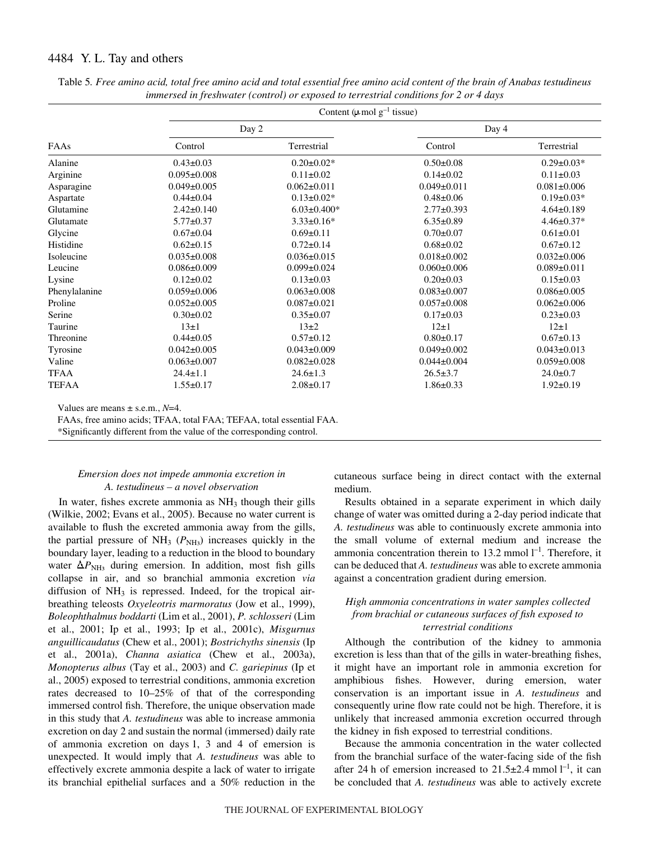|               | Content ( $\mu$ mol g <sup>-1</sup> tissue) |                   |                   |                   |  |  |
|---------------|---------------------------------------------|-------------------|-------------------|-------------------|--|--|
|               |                                             | Day 2             | Day 4             |                   |  |  |
| FAAs          | Control                                     | Terrestrial       | Control           | Terrestrial       |  |  |
| Alanine       | $0.43 \pm 0.03$                             | $0.20 \pm 0.02*$  | $0.50 \pm 0.08$   | $0.29 \pm 0.03*$  |  |  |
| Arginine      | $0.095 \pm 0.008$                           | $0.11 \pm 0.02$   | $0.14 \pm 0.02$   | $0.11 \pm 0.03$   |  |  |
| Asparagine    | $0.049 \pm 0.005$                           | $0.062 \pm 0.011$ | $0.049 \pm 0.011$ | $0.081 \pm 0.006$ |  |  |
| Aspartate     | $0.44 \pm 0.04$                             | $0.13 \pm 0.02*$  | $0.48 \pm 0.06$   | $0.19 \pm 0.03*$  |  |  |
| Glutamine     | $2.42 \pm 0.140$                            | $6.03 \pm 0.400*$ | $2.77 \pm 0.393$  | $4.64 \pm 0.189$  |  |  |
| Glutamate     | $5.77 \pm 0.37$                             | $3.33 \pm 0.16*$  | $6.35 \pm 0.89$   | $4.46 \pm 0.37*$  |  |  |
| Glycine       | $0.67 \pm 0.04$                             | $0.69 \pm 0.11$   | $0.70 \pm 0.07$   | $0.61 \pm 0.01$   |  |  |
| Histidine     | $0.62 \pm 0.15$                             | $0.72 \pm 0.14$   | $0.68 \pm 0.02$   | $0.67 \pm 0.12$   |  |  |
| Isoleucine    | $0.035 \pm 0.008$                           | $0.036 \pm 0.015$ | $0.018 \pm 0.002$ | $0.032 \pm 0.006$ |  |  |
| Leucine       | $0.086 \pm 0.009$                           | $0.099 \pm 0.024$ | $0.060 \pm 0.006$ | $0.089 \pm 0.011$ |  |  |
| Lysine        | $0.12 \pm 0.02$                             | $0.13 \pm 0.03$   | $0.20 \pm 0.03$   | $0.15 \pm 0.03$   |  |  |
| Phenylalanine | $0.059 \pm 0.006$                           | $0.063 \pm 0.008$ | $0.083 \pm 0.007$ | $0.086 \pm 0.005$ |  |  |
| Proline       | $0.052 \pm 0.005$                           | $0.087 \pm 0.021$ | $0.057 \pm 0.008$ | $0.062 \pm 0.006$ |  |  |
| Serine        | $0.30 \pm 0.02$                             | $0.35 \pm 0.07$   | $0.17 \pm 0.03$   | $0.23 \pm 0.03$   |  |  |
| Taurine       | $13\pm1$                                    | $13\pm2$          | $12\pm1$          | $12\pm1$          |  |  |
| Threonine     | $0.44 \pm 0.05$                             | $0.57 \pm 0.12$   | $0.80 \pm 0.17$   | $0.67 \pm 0.13$   |  |  |
| Tyrosine      | $0.042 \pm 0.005$                           | $0.043 \pm 0.009$ | $0.049 \pm 0.002$ | $0.043 \pm 0.013$ |  |  |
| Valine        | $0.063 \pm 0.007$                           | $0.082 \pm 0.028$ | $0.044 \pm 0.004$ | $0.059 \pm 0.008$ |  |  |
| <b>TFAA</b>   | $24.4 \pm 1.1$                              | $24.6 \pm 1.3$    | $26.5 \pm 3.7$    | $24.0 \pm 0.7$    |  |  |
| <b>TEFAA</b>  | $1.55 \pm 0.17$                             | $2.08 \pm 0.17$   | $1.86 \pm 0.33$   | $1.92 \pm 0.19$   |  |  |

Table 5. Free amino acid, total free amino acid and total essential free amino acid content of the brain of Anabas testudineus *immersed in freshwater (control) or exposed to terrestrial conditions for 2 or 4 days* 

Values are means ± s.e.m., *N*=4.

FAAs, free amino acids; TFAA, total FAA; TEFAA, total essential FAA.

\*Significantly different from the value of the corresponding control.

## *Emersion does not impede ammonia excretion in A. testudineus – a novel observation*

In water, fishes excrete ammonia as  $NH<sub>3</sub>$  though their gills (Wilkie, 2002; Evans et al., 2005). Because no water current is available to flush the excreted ammonia away from the gills, the partial pressure of  $NH_3$  ( $P_{NH3}$ ) increases quickly in the boundary layer, leading to a reduction in the blood to boundary water  $\Delta P_{\text{NH}_3}$  during emersion. In addition, most fish gills collapse in air, and so branchial ammonia excretion *via* diffusion of  $NH<sub>3</sub>$  is repressed. Indeed, for the tropical airbreathing teleosts *Oxyeleotris marmoratus* (Jow et al., 1999), *Boleophthalmus boddarti* (Lim et al., 2001), *P. schlosseri* (Lim et al., 2001; Ip et al., 1993; Ip et al., 2001c), *Misgurnus anguillicaudatus* (Chew et al., 2001); *Bostrichyths sinensis* (Ip et al., 2001a), *Channa asiatica* (Chew et al., 2003a), *Monopterus albus* (Tay et al., 2003) and *C. gariepinus* (Ip et al., 2005) exposed to terrestrial conditions, ammonia excretion rates decreased to 10–25% of that of the corresponding immersed control fish. Therefore, the unique observation made in this study that *A. testudineus* was able to increase ammonia excretion on day 2 and sustain the normal (immersed) daily rate of ammonia excretion on days  $1, 3$  and  $4$  of emersion is unexpected. It would imply that *A. testudineus* was able to effectively excrete ammonia despite a lack of water to irrigate its branchial epithelial surfaces and a 50% reduction in the cutaneous surface being in direct contact with the external medium.

Results obtained in a separate experiment in which daily change of water was omitted during a 2-day period indicate that *A. testudineus* was able to continuously excrete ammonia into the small volume of external medium and increase the ammonia concentration therein to  $13.2$  mmol  $l^{-1}$ . Therefore, it can be deduced that *A. testudineus* was able to excrete ammonia against a concentration gradient during emersion.

## *High ammonia concentrations in water samples collected from brachial or cutaneous surfaces of fish exposed to terrestrial conditions*

Although the contribution of the kidney to ammonia excretion is less than that of the gills in water-breathing fishes, it might have an important role in ammonia excretion for amphibious fishes. However, during emersion, water conservation is an important issue in *A. testudineus* and consequently urine flow rate could not be high. Therefore, it is unlikely that increased ammonia excretion occurred through the kidney in fish exposed to terrestrial conditions.

Because the ammonia concentration in the water collected from the branchial surface of the water-facing side of the fish after 24 h of emersion increased to  $21.5\pm2.4$  mmol  $l^{-1}$ , it can be concluded that *A. testudineus* was able to actively excrete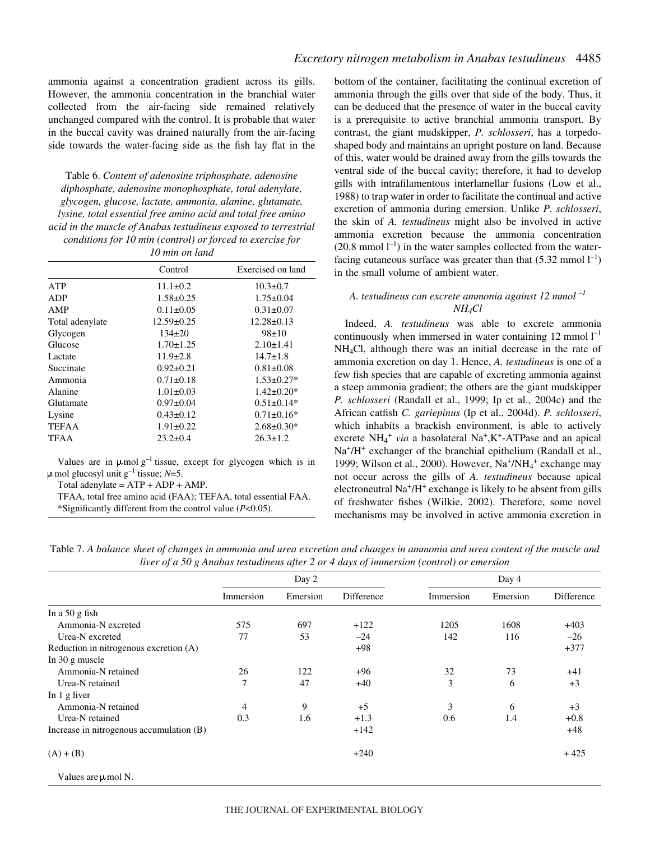ammonia against a concentration gradient across its gills. However, the ammonia concentration in the branchial water collected from the air-facing side remained relatively unchanged compared with the control. It is probable that water in the buccal cavity was drained naturally from the air-facing side towards the water-facing side as the fish lay flat in the

Table 6. *Content of adenosine triphosphate, adenosine diphosphate, adenosine monophosphate, total adenylate, glycogen, glucose, lactate, ammonia, alanine, glutamate, lysine, total essential free amino acid and total free amino acid in the muscle of Anabas testudineus exposed to terrestrial conditions for 10·min (control) or forced to exercise for 10·min on land*

|                 | Control          | Exercised on land |
|-----------------|------------------|-------------------|
| <b>ATP</b>      | $11.1 \pm 0.2$   | $10.3 \pm 0.7$    |
| ADP             | $1.58 \pm 0.25$  | $1.75 \pm 0.04$   |
| AMP             | $0.11 \pm 0.05$  | $0.31 \pm 0.07$   |
| Total adenylate | $12.59 \pm 0.25$ | $12.28 \pm 0.13$  |
| Glycogen        | $134\pm20$       | $98 \pm 10$       |
| Glucose         | $1.70 \pm 1.25$  | $2.10 \pm 1.41$   |
| Lactate         | $11.9 \pm 2.8$   | $14.7 \pm 1.8$    |
| Succinate       | $0.92 \pm 0.21$  | $0.81 \pm 0.08$   |
| Ammonia         | $0.71 \pm 0.18$  | $1.53 \pm 0.27*$  |
| Alanine         | $1.01 \pm 0.03$  | $1.42 \pm 0.20^*$ |
| Glutamate       | $0.97 \pm 0.04$  | $0.51 \pm 0.14*$  |
| Lysine          | $0.43 \pm 0.12$  | $0.71 \pm 0.16*$  |
| <b>TEFAA</b>    | $1.91 \pm 0.22$  | $2.68 \pm 0.30*$  |
| <b>TFAA</b>     | $23.2 \pm 0.4$   | $26.3 \pm 1.2$    |

Values are in  $\mu$  mol g<sup>-1</sup> tissue, except for glycogen which is in  $\mu$  mol glucosyl unit g<sup>-1</sup> tissue; *N*=5.

Total adenylate =  $ATP + ADP + AMP$ .

TFAA, total free amino acid (FAA); TEFAA, total essential FAA. \*Significantly different from the control value (*P*<0.05).

bottom of the container, facilitating the continual excretion of ammonia through the gills over that side of the body. Thus, it can be deduced that the presence of water in the buccal cavity is a prerequisite to active branchial ammonia transport. By contrast, the giant mudskipper, *P. schlosseri*, has a torpedoshaped body and maintains an upright posture on land. Because of this, water would be drained away from the gills towards the ventral side of the buccal cavity; therefore, it had to develop gills with intrafilamentous interlamellar fusions (Low et al., 1988) to trap water in order to facilitate the continual and active excretion of ammonia during emersion. Unlike *P. schlosseri*, the skin of *A. testudineus* might also be involved in active ammonia excretion because the ammonia concentration  $(20.8 \text{ mmol } l^{-1})$  in the water samples collected from the waterfacing cutaneous surface was greater than that  $(5.32 \text{ mmol l}^{-1})$ in the small volume of ambient water.

## *A. testudineus can excrete ammonia against 12·mmol· –1 NH4Cl*

Indeed, *A. testudineus* was able to excrete ammonia continuously when immersed in water containing  $12$  mmol  $I^{-1}$ NH4Cl, although there was an initial decrease in the rate of ammonia excretion on day 1. Hence, *A. testudineus* is one of a few fish species that are capable of excreting ammonia against a steep ammonia gradient; the others are the giant mudskipper *P. schlosseri* (Randall et al., 1999; Ip et al., 2004c) and the African catfish *C. gariepinus* (Ip et al., 2004d). *P. schlosseri*, which inhabits a brackish environment, is able to actively excrete NH<sub>4</sub><sup>+</sup> via a basolateral Na<sup>+</sup>,K<sup>+</sup>-ATPase and an apical Na<sup>+</sup>/H<sup>+</sup> exchanger of the branchial epithelium (Randall et al., 1999; Wilson et al., 2000). However, Na<sup>+</sup>/NH<sub>4</sub><sup>+</sup> exchange may not occur across the gills of *A. testudineus* because apical electroneutral  $Na^+/H^+$  exchange is likely to be absent from gills of freshwater fishes (Wilkie, 2002). Therefore, some novel mechanisms may be involved in active ammonia excretion in

Table 7. A balance sheet of changes in ammonia and urea excretion and changes in ammonia and urea content of the muscle and *liver of a 50 g Anabas testudineus after 2 or 4 days of immersion (control) or emersion* 

|                                          | Day 2     |          | Day 4      |           |          |            |
|------------------------------------------|-----------|----------|------------|-----------|----------|------------|
|                                          | Immersion | Emersion | Difference | Immersion | Emersion | Difference |
| In a $50$ g fish                         |           |          |            |           |          |            |
| Ammonia-N excreted                       | 575       | 697      | $+122$     | 1205      | 1608     | $+403$     |
| Urea-N excreted                          | 77        | 53       | $-24$      | 142       | 116      | $-26$      |
| Reduction in nitrogenous excretion (A)   |           |          | $+98$      |           |          | $+377$     |
| In $30 \text{ g}$ muscle                 |           |          |            |           |          |            |
| Ammonia-N retained                       | 26        | 122      | $+96$      | 32        | 73       | $+41$      |
| Urea-N retained                          | $\tau$    | 47       | $+40$      | 3         | 6        | $+3$       |
| In $1$ g liver                           |           |          |            |           |          |            |
| Ammonia-N retained                       | 4         | 9        | $+5$       | 3         | 6        | $+3$       |
| Urea-N retained                          | 0.3       | 1.6      | $+1.3$     | 0.6       | 1.4      | $+0.8$     |
| Increase in nitrogenous accumulation (B) |           |          | $+142$     |           |          | $+48$      |
| $(A) + (B)$                              |           |          | $+240$     |           |          | $+425$     |
| Values are $\mu$ mol N.                  |           |          |            |           |          |            |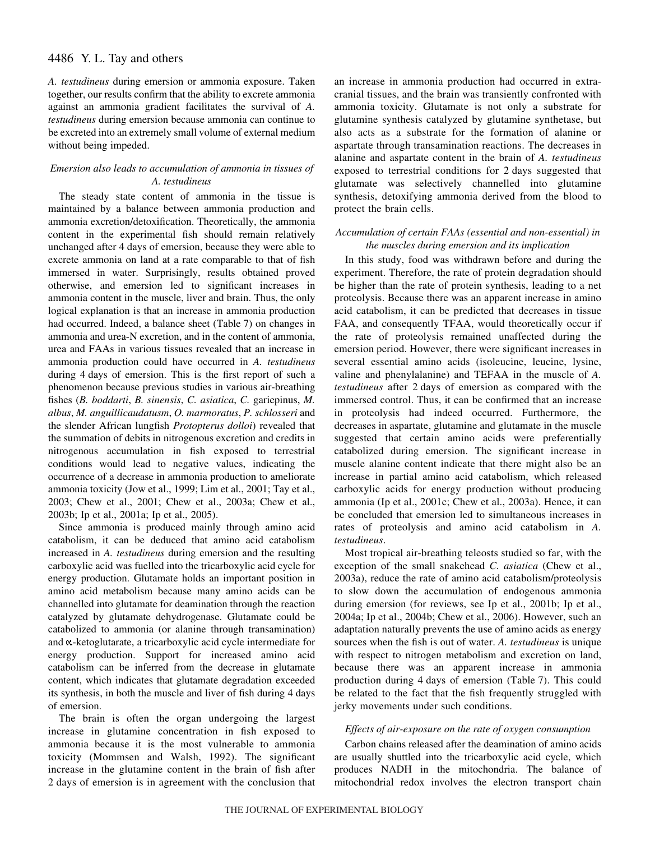*A. testudineus* during emersion or ammonia exposure. Taken together, our results confirm that the ability to excrete ammonia against an ammonia gradient facilitates the survival of *A. testudineus* during emersion because ammonia can continue to be excreted into an extremely small volume of external medium without being impeded.

## *Emersion also leads to accumulation of ammonia in tissues of A. testudineus*

The steady state content of ammonia in the tissue is maintained by a balance between ammonia production and ammonia excretion/detoxification. Theoretically, the ammonia content in the experimental fish should remain relatively unchanged after 4 days of emersion, because they were able to excrete ammonia on land at a rate comparable to that of fish immersed in water. Surprisingly, results obtained proved otherwise, and emersion led to significant increases in ammonia content in the muscle, liver and brain. Thus, the only logical explanation is that an increase in ammonia production had occurred. Indeed, a balance sheet (Table 7) on changes in ammonia and urea-N excretion, and in the content of ammonia, urea and FAAs in various tissues revealed that an increase in ammonia production could have occurred in *A. testudineus* during 4 days of emersion. This is the first report of such a phenomenon because previous studies in various air-breathing fishes (*B. boddarti*, *B. sinensis*, *C. asiatica*, *C.* gariepinus, *M. albus*, *M. anguillicaudatusm*, *O. marmoratus*, *P. schlosseri* and the slender African lungfish *Protopterus dolloi*) revealed that the summation of debits in nitrogenous excretion and credits in nitrogenous accumulation in fish exposed to terrestrial conditions would lead to negative values, indicating the occurrence of a decrease in ammonia production to ameliorate ammonia toxicity (Jow et al., 1999; Lim et al., 2001; Tay et al., 2003; Chew et al., 2001; Chew et al., 2003a; Chew et al., 2003b; Ip et al., 2001a; Ip et al., 2005).

Since ammonia is produced mainly through amino acid catabolism, it can be deduced that amino acid catabolism increased in *A. testudineus* during emersion and the resulting carboxylic acid was fuelled into the tricarboxylic acid cycle for energy production. Glutamate holds an important position in amino acid metabolism because many amino acids can be channelled into glutamate for deamination through the reaction catalyzed by glutamate dehydrogenase. Glutamate could be catabolized to ammonia (or alanine through transamination) and a-ketoglutarate, a tricarboxylic acid cycle intermediate for energy production. Support for increased amino acid catabolism can be inferred from the decrease in glutamate content, which indicates that glutamate degradation exceeded its synthesis, in both the muscle and liver of fish during 4 days of emersion.

The brain is often the organ undergoing the largest increase in glutamine concentration in fish exposed to ammonia because it is the most vulnerable to ammonia toxicity (Mommsen and Walsh, 1992). The significant increase in the glutamine content in the brain of fish after 2 days of emersion is in agreement with the conclusion that

an increase in ammonia production had occurred in extracranial tissues, and the brain was transiently confronted with ammonia toxicity. Glutamate is not only a substrate for glutamine synthesis catalyzed by glutamine synthetase, but also acts as a substrate for the formation of alanine or aspartate through transamination reactions. The decreases in alanine and aspartate content in the brain of *A. testudineus* exposed to terrestrial conditions for 2 days suggested that glutamate was selectively channelled into glutamine synthesis, detoxifying ammonia derived from the blood to protect the brain cells.

## *Accumulation of certain FAAs (essential and non-essential) in the muscles during emersion and its implication*

In this study, food was withdrawn before and during the experiment. Therefore, the rate of protein degradation should be higher than the rate of protein synthesis, leading to a net proteolysis. Because there was an apparent increase in amino acid catabolism, it can be predicted that decreases in tissue FAA, and consequently TFAA, would theoretically occur if the rate of proteolysis remained unaffected during the emersion period. However, there were significant increases in several essential amino acids (isoleucine, leucine, lysine, valine and phenylalanine) and TEFAA in the muscle of *A. testudineus* after 2 days of emersion as compared with the immersed control. Thus, it can be confirmed that an increase in proteolysis had indeed occurred. Furthermore, the decreases in aspartate, glutamine and glutamate in the muscle suggested that certain amino acids were preferentially catabolized during emersion. The significant increase in muscle alanine content indicate that there might also be an increase in partial amino acid catabolism, which released carboxylic acids for energy production without producing ammonia (Ip et al., 2001c; Chew et al., 2003a). Hence, it can be concluded that emersion led to simultaneous increases in rates of proteolysis and amino acid catabolism in *A. testudineus*.

Most tropical air-breathing teleosts studied so far, with the exception of the small snakehead *C. asiatica* (Chew et al., 2003a), reduce the rate of amino acid catabolism/proteolysis to slow down the accumulation of endogenous ammonia during emersion (for reviews, see Ip et al., 2001b; Ip et al., 2004a; Ip et al., 2004b; Chew et al., 2006). However, such an adaptation naturally prevents the use of amino acids as energy sources when the fish is out of water. *A. testudineus* is unique with respect to nitrogen metabolism and excretion on land, because there was an apparent increase in ammonia production during 4 days of emersion (Table 7). This could be related to the fact that the fish frequently struggled with jerky movements under such conditions.

#### *Effects of air-exposure on the rate of oxygen consumption*

Carbon chains released after the deamination of amino acids are usually shuttled into the tricarboxylic acid cycle, which produces NADH in the mitochondria. The balance of mitochondrial redox involves the electron transport chain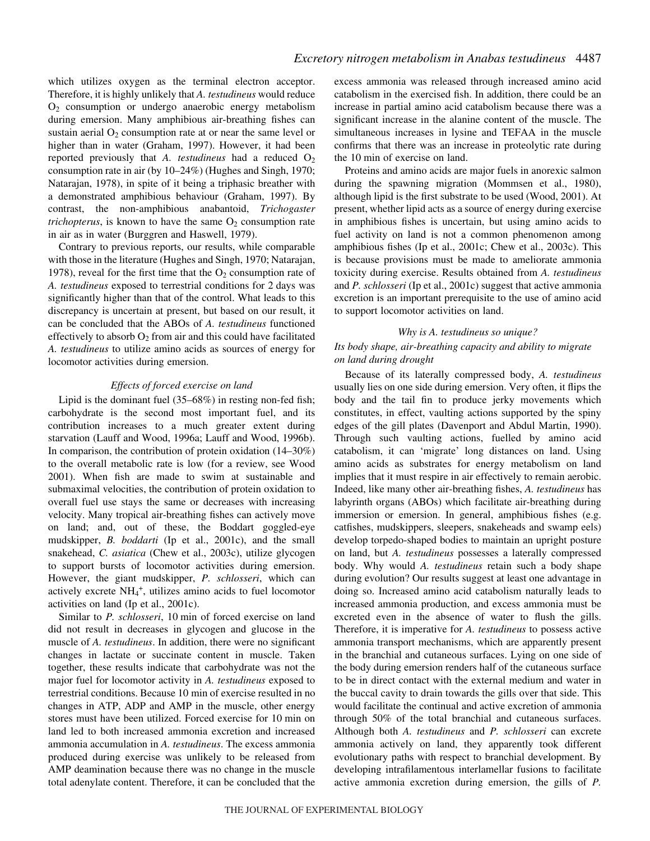which utilizes oxygen as the terminal electron acceptor. Therefore, it is highly unlikely that *A. testudineus* would reduce O2 consumption or undergo anaerobic energy metabolism during emersion. Many amphibious air-breathing fishes can sustain aerial  $O_2$  consumption rate at or near the same level or higher than in water (Graham, 1997). However, it had been reported previously that *A. testudineus* had a reduced O<sub>2</sub> consumption rate in air (by 10–24%) (Hughes and Singh, 1970; Natarajan, 1978), in spite of it being a triphasic breather with a demonstrated amphibious behaviour (Graham, 1997). By contrast, the non-amphibious anabantoid, *Trichogaster trichopterus*, is known to have the same  $O_2$  consumption rate in air as in water (Burggren and Haswell, 1979).

Contrary to previous reports, our results, while comparable with those in the literature (Hughes and Singh, 1970; Natarajan, 1978), reveal for the first time that the  $O_2$  consumption rate of *A. testudineus* exposed to terrestrial conditions for 2·days was significantly higher than that of the control. What leads to this discrepancy is uncertain at present, but based on our result, it can be concluded that the ABOs of *A. testudineus* functioned effectively to absorb  $O_2$  from air and this could have facilitated *A. testudineus* to utilize amino acids as sources of energy for locomotor activities during emersion.

#### *Effects of forced exercise on land*

Lipid is the dominant fuel (35–68%) in resting non-fed fish; carbohydrate is the second most important fuel, and its contribution increases to a much greater extent during starvation (Lauff and Wood, 1996a; Lauff and Wood, 1996b). In comparison, the contribution of protein oxidation (14–30%) to the overall metabolic rate is low (for a review, see Wood 2001). When fish are made to swim at sustainable and submaximal velocities, the contribution of protein oxidation to overall fuel use stays the same or decreases with increasing velocity. Many tropical air-breathing fishes can actively move on land; and, out of these, the Boddart goggled-eye mudskipper, *B. boddarti* (Ip et al., 2001c), and the small snakehead, *C. asiatica* (Chew et al., 2003c), utilize glycogen to support bursts of locomotor activities during emersion. However, the giant mudskipper, *P. schlosseri*, which can actively excrete NH<sub>4</sub><sup>+</sup>, utilizes amino acids to fuel locomotor activities on land (Ip et al., 2001c).

Similar to *P. schlosseri*, 10 min of forced exercise on land did not result in decreases in glycogen and glucose in the muscle of *A. testudineus*. In addition, there were no significant changes in lactate or succinate content in muscle. Taken together, these results indicate that carbohydrate was not the major fuel for locomotor activity in *A. testudineus* exposed to terrestrial conditions. Because 10 min of exercise resulted in no changes in ATP, ADP and AMP in the muscle, other energy stores must have been utilized. Forced exercise for 10 min on land led to both increased ammonia excretion and increased ammonia accumulation in *A. testudineus*. The excess ammonia produced during exercise was unlikely to be released from AMP deamination because there was no change in the muscle total adenylate content. Therefore, it can be concluded that the excess ammonia was released through increased amino acid catabolism in the exercised fish. In addition, there could be an increase in partial amino acid catabolism because there was a significant increase in the alanine content of the muscle. The simultaneous increases in lysine and TEFAA in the muscle confirms that there was an increase in proteolytic rate during the 10 min of exercise on land.

Proteins and amino acids are major fuels in anorexic salmon during the spawning migration (Mommsen et al., 1980), although lipid is the first substrate to be used (Wood, 2001). At present, whether lipid acts as a source of energy during exercise in amphibious fishes is uncertain, but using amino acids to fuel activity on land is not a common phenomenon among amphibious fishes (Ip et al., 2001c; Chew et al., 2003c). This is because provisions must be made to ameliorate ammonia toxicity during exercise. Results obtained from *A. testudineus* and *P. schlosseri* (Ip et al., 2001c) suggest that active ammonia excretion is an important prerequisite to the use of amino acid to support locomotor activities on land.

#### *Why is A. testudineus so unique?*

## *Its body shape, air-breathing capacity and ability to migrate on land during drought*

Because of its laterally compressed body, *A. testudineus* usually lies on one side during emersion. Very often, it flips the body and the tail fin to produce jerky movements which constitutes, in effect, vaulting actions supported by the spiny edges of the gill plates (Davenport and Abdul Martin, 1990). Through such vaulting actions, fuelled by amino acid catabolism, it can 'migrate' long distances on land. Using amino acids as substrates for energy metabolism on land implies that it must respire in air effectively to remain aerobic. Indeed, like many other air-breathing fishes, *A. testudineus* has labyrinth organs (ABOs) which facilitate air-breathing during immersion or emersion. In general, amphibious fishes (e.g. catfishes, mudskippers, sleepers, snakeheads and swamp eels) develop torpedo-shaped bodies to maintain an upright posture on land, but *A. testudineus* possesses a laterally compressed body. Why would *A. testudineus* retain such a body shape during evolution? Our results suggest at least one advantage in doing so. Increased amino acid catabolism naturally leads to increased ammonia production, and excess ammonia must be excreted even in the absence of water to flush the gills. Therefore, it is imperative for *A. testudineus* to possess active ammonia transport mechanisms, which are apparently present in the branchial and cutaneous surfaces. Lying on one side of the body during emersion renders half of the cutaneous surface to be in direct contact with the external medium and water in the buccal cavity to drain towards the gills over that side. This would facilitate the continual and active excretion of ammonia through 50% of the total branchial and cutaneous surfaces. Although both *A. testudineus* and *P. schlosseri* can excrete ammonia actively on land, they apparently took different evolutionary paths with respect to branchial development. By developing intrafilamentous interlamellar fusions to facilitate active ammonia excretion during emersion, the gills of *P.*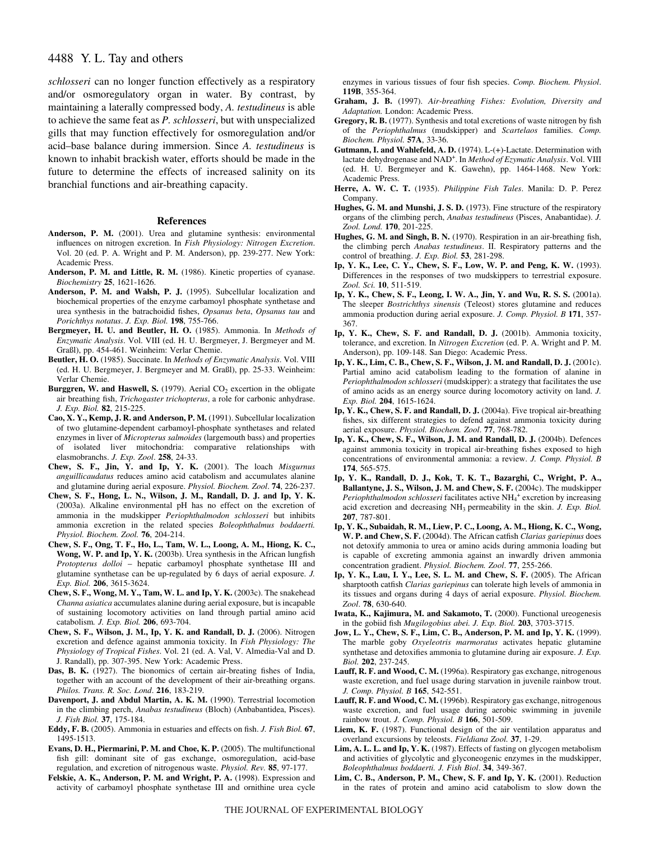*schlosseri* can no longer function effectively as a respiratory and/or osmoregulatory organ in water. By contrast, by maintaining a laterally compressed body, *A. testudineus* is able to achieve the same feat as *P. schlosseri*, but with unspecialized gills that may function effectively for osmoregulation and/or acid–base balance during immersion. Since *A. testudineus* is known to inhabit brackish water, efforts should be made in the future to determine the effects of increased salinity on its branchial functions and air-breathing capacity.

#### **References**

- **Anderson, P. M.** (2001). Urea and glutamine synthesis: environmental influences on nitrogen excretion. In *Fish Physiology: Nitrogen Excretion*. Vol. 20 (ed. P. A. Wright and P. M. Anderson), pp. 239-277. New York: Academic Press.
- Anderson, P. M. and Little, R. M. (1986). Kinetic properties of cyanase. *Biochemistry* **25**, 1621-1626.
- **Anderson, P. M. and Walsh, P. J.** (1995). Subcellular localization and biochemical properties of the enzyme carbamoyl phosphate synthetase and urea synthesis in the batrachoidid fishes, *Opsanus beta*, *Opsanus tau* and *Porichthys notatus*. *J. Exp. Biol.* **198**, 755-766.
- **Bergmeyer, H. U. and Beutler, H. O.** (1985). Ammonia. In *Methods of Enzymatic Analysis*. Vol. VIII (ed. H. U. Bergmeyer, J. Bergmeyer and M. Graßl), pp. 454-461. Weinheim: Verlar Chemie.
- **Beutler, H. O.** (1985). Succinate. In *Methods of Enzymatic Analysis*. Vol. VIII (ed. H. U. Bergmeyer, J. Bergmeyer and M. Graßl), pp. 25-33. Weinheim: Verlar Chemie.
- **Burggren, W. and Haswell, S.** (1979). Aerial CO<sub>2</sub> excertion in the obligate air breathing fish, *Trichogaster trichopterus*, a role for carbonic anhydrase. *J. Exp. Biol.* **82**, 215-225.
- **Cao, X. Y., Kemp, J. R. and Anderson, P. M.** (1991). Subcellular localization of two glutamine-dependent carbamoyl-phosphate synthetases and related enzymes in liver of *Micropterus salmoides* (largemouth bass) and properties of isolated liver mitochondria: comparative relationships with elasmobranchs. *J. Exp. Zool*. **258**, 24-33.
- **Chew, S. F., Jin, Y. and Ip, Y. K.** (2001). The loach *Misgurnus anguillicaudatus* reduces amino acid catabolism and accumulates alanine and glutamine during aerial exposure. *Physiol. Biochem. Zool*. **74**, 226-237.
- **Chew, S. F., Hong, L. N., Wilson, J. M., Randall, D. J. and Ip, Y. K.** (2003a). Alkaline environmental pH has no effect on the excretion of ammonia in the mudskipper *Periophthalmodon schlosseri* but inhibits ammonia excretion in the related species *Boleophthalmus boddaerti. Physiol. Biochem. Zool.* **76**, 204-214.
- **Chew, S. F., Ong, T. F., Ho, L., Tam, W. L., Loong, A. M., Hiong, K. C., Wong, W. P. and Ip, Y. K.** (2003b). Urea synthesis in the African lungfish *Protopterus dolloi* – hepatic carbamoyl phosphate synthetase III and glutamine synthetase can be up-regulated by 6 days of aerial exposure. *J. Exp. Biol.* **206**, 3615-3624.
- **Chew, S. F., Wong, M. Y., Tam, W. L. and Ip, Y. K.** (2003c). The snakehead *Channa asiatica* accumulates alanine during aerial exposure, but is incapable of sustaining locomotory activities on land through partial amino acid catabolism*. J. Exp. Biol.* **206**, 693-704.
- **Chew, S. F., Wilson, J. M., Ip, Y. K. and Randall, D. J.** (2006). Nitrogen excretion and defence against ammonia toxicity. In *Fish Physiology: The Physiology of Tropical Fishes*. Vol. 21 (ed. A. Val, V. Almedia-Val and D. J. Randall), pp. 307-395. New York: Academic Press.
- **Das, B. K.** (1927). The bionomics of certain air-breating fishes of India, together with an account of the development of their air-breathing organs. *Philos. Trans. R. Soc. Lond*. **216**, 183-219.
- **Davenport, J. and Abdul Martin, A. K. M.** (1990). Terrestrial locomotion in the climbing perch, *Anabas testudineus* (Bloch) (Anbabantidea, Pisces). *J. Fish Biol.* **37**, 175-184.
- **Eddy, F. B.** (2005). Ammonia in estuaries and effects on fish. *J. Fish Biol.* **67**, 1495-1513.
- **Evans, D. H., Piermarini, P. M. and Choe, K. P.** (2005). The multifunctional fish gill: dominant site of gas exchange, osmoregulation, acid-base regulation, and excretion of nitrogenous waste. *Physiol. Rev.* **85**, 97-177.
- **Felskie, A. K., Anderson, P. M. and Wright, P. A.** (1998). Expression and activity of carbamoyl phosphate synthetase III and ornithine urea cycle

enzymes in various tissues of four fish species. *Comp. Biochem. Physiol*. **119B**, 355-364.

- **Graham, J. B.** (1997). *Air-breathing Fishes: Evolution, Diversity and Adaptation.* London: Academic Press.
- **Gregory, R. B.** (1977). Synthesis and total excretions of waste nitrogen by fish of the *Periophthalmus* (mudskipper) and *Scartelaos* families. *Comp. Biochem. Physiol.* **57A**, 33-36.
- **Gutmann, I. and Wahlefeld, A. D.** (1974). L-(+)-Lactate. Determination with lactate dehydrogenase and NAD+. In *Method of Ezymatic Analysis*. Vol. VIII (ed. H. U. Bergmeyer and K. Gawehn), pp. 1464-1468. New York: Academic Press.
- **Herre, A. W. C. T.** (1935). *Philippine Fish Tales*. Manila: D. P. Perez Company.
- **Hughes, G. M. and Munshi, J. S. D.** (1973). Fine structure of the respiratory organs of the climbing perch, *Anabas testudineus* (Pisces, Anabantidae). *J. Zool. Lond.* **170**, 201-225.
- **Hughes, G. M. and Singh, B. N.** (1970). Respiration in an air-breathing fish, the climbing perch *Anabas testudineus*. II. Respiratory patterns and the control of breathing. *J. Exp. Biol.* **53**, 281-298.
- **Ip, Y. K., Lee, C. Y., Chew, S. F., Low, W. P. and Peng, K. W.** (1993). Differences in the responses of two mudskippers to terrestrial exposure. *Zool. Sci.* **10**, 511-519.
- **Ip, Y. K., Chew, S. F., Leong, I. W. A., Jin, Y. and Wu, R. S. S.** (2001a). The sleeper *Bostrichthys sinensis* (Teleost) stores glutamine and reduces ammonia production during aerial exposure. *J. Comp. Physiol. B* **171**, 357- 367.
- **Ip, Y. K., Chew, S. F. and Randall, D. J.** (2001b). Ammonia toxicity, tolerance, and excretion. In *Nitrogen Excretion* (ed. P. A. Wright and P. M. Anderson), pp. 109-148. San Diego: Academic Press.
- **Ip, Y. K., Lim, C. B., Chew, S. F., Wilson, J. M. and Randall, D. J.** (2001c). Partial amino acid catabolism leading to the formation of alanine in *Periophthalmodon schlosseri* (mudskipper): a strategy that facilitates the use of amino acids as an energy source during locomotory activity on land. *J. Exp. Biol.* **204**, 1615-1624.
- **Ip, Y. K., Chew, S. F. and Randall, D. J.** (2004a). Five tropical air-breathing fishes, six different strategies to defend against ammonia toxicity during aerial exposure. *Physiol. Biochem. Zool*. **77**, 768-782.
- **Ip, Y. K., Chew, S. F., Wilson, J. M. and Randall, D. J.** (2004b). Defences against ammonia toxicity in tropical air-breathing fishes exposed to high concentrations of environmental ammonia: a review. *J. Comp. Physiol. B* **174**, 565-575.
- **Ip, Y. K., Randall, D. J., Kok, T. K. T., Bazarghi, C., Wright, P. A., Ballantyne, J. S., Wilson, J. M. and Chew, S. F.** (2004c). The mudskipper Periophthalmodon schlosseri facilitates active NH<sub>4</sub><sup>+</sup> excretion by increasing acid excretion and decreasing NH3 permeability in the skin. *J. Exp. Biol.* **207**, 787-801.
- **Ip, Y. K., Subaidah, R. M., Liew, P. C., Loong, A. M., Hiong, K. C., Wong, W. P. and Chew, S. F.** (2004d). The African catfish *Clarias gariepinus* does not detoxify ammonia to urea or amino acids during ammonia loading but is capable of excreting ammonia against an inwardly driven ammonia concentration gradient. *Physiol. Biochem. Zool*. **77**, 255-266.
- **Ip, Y. K., Lau, I. Y., Lee, S. L. M. and Chew, S. F.** (2005). The African sharptooth catfish *Clarias gariepinus* can tolerate high levels of ammonia in its tissues and organs during 4 days of aerial exposure. *Physiol. Biochem. Zool*. **78**, 630-640.
- **Iwata, K., Kajimura, M. and Sakamoto, T.** (2000). Functional ureogenesis in the gobiid fish *Mugilogobius abei. J. Exp. Biol.* **203**, 3703-3715.
- **Jow, L. Y., Chew, S. F., Lim, C. B., Anderson, P. M. and Ip, Y. K.** (1999). The marble goby *Oxyeleotris marmoratus* activates hepatic glutamine synthetase and detoxifies ammonia to glutamine during air exposure. *J. Exp. Biol.* **202**, 237-245.
- **Lauff, R. F. and Wood, C. M.** (1996a). Respiratory gas exchange, nitrogenous waste excretion, and fuel usage during starvation in juvenile rainbow trout. *J. Comp. Physiol. B* **165**, 542-551.
- Lauff, R. F. and Wood, C. M. (1996b). Respiratory gas exchange, nitrogenous waste excretion, and fuel usage during aerobic swimming in juvenile rainbow trout. *J. Comp. Physiol. B* **166**, 501-509.
- **Liem, K. F.** (1987). Functional design of the air ventilation apparatus and overland excursions by teleosts. *Fieldiana Zool.* **37**, 1-29.
- **Lim, A. L. L. and Ip, Y. K.** (1987). Effects of fasting on glycogen metabolism and activities of glycolytic and glyconeogenic enzymes in the mudskipper, *Boleophthalmus boddaerti. J. Fish Biol*. **34**, 349-367.
- **Lim, C. B., Anderson, P. M., Chew, S. F. and Ip, Y. K.** (2001). Reduction in the rates of protein and amino acid catabolism to slow down the